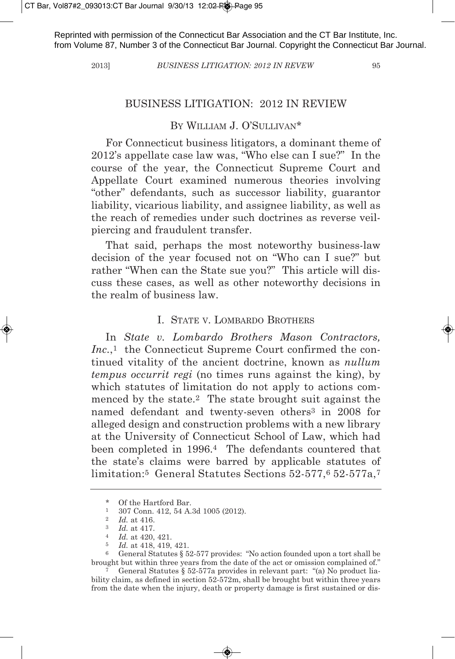Reprinted with permission of the Connecticut Bar Association and the CT Bar Institute, Inc. from Volume 87, Number 3 of the Connecticut Bar Journal. Copyright the Connecticut Bar Journal.

#### 2013] *BuSIneSS LItIgatIon: 2012 In Revew* 95

### BUSINESS LITIGATION: 2012 IN REVIEW

## By WILLIAm J. O'SULLIVAN\*

For Connecticut business litigators, a dominant theme of 2012's appellate case law was, "Who else can I sue?" In the course of the year, the Connecticut Supreme Court and Appellate Court examined numerous theories involving "other" defendants, such as successor liability, guarantor liability, vicarious liability, and assignee liability, as well as the reach of remedies under such doctrines as reverse veilpiercing and fraudulent transfer.

That said, perhaps the most noteworthy business-law decision of the year focused not on "Who can I sue?" but rather "When can the State sue you?" This article will discuss these cases, as well as other noteworthy decisions in the realm of business law.

## I. STATE V. LOmBARdO BROTHERS

In *State v. Lombardo Brothers Mason Contractors,* Inc.,<sup>1</sup> the Connecticut Supreme Court confirmed the continued vitality of the ancient doctrine, known as *nullum tempus occurrit regi* (no times runs against the king), by which statutes of limitation do not apply to actions commenced by the state.2 The state brought suit against the named defendant and twenty-seven others3 in 2008 for alleged design and construction problems with a new library at the University of Connecticut School of Law, which had been completed in 1996.4 The defendants countered that the state's claims were barred by applicable statutes of limitation:5 General Statutes Sections 52-577,6 52-577a,7

<sup>\*</sup> Of the Hartford Bar.

<sup>1</sup> 307 Conn. 412, 54 A.3d 1005 (2012).

<sup>2</sup> *Id.* at 416.

<sup>3</sup> *Id.* at 417.

<sup>4</sup> *Id.* at 420, 421.

<sup>5</sup> *Id.* at 418, 419, 421.

<sup>6</sup> General Statutes § 52-577 provides: "No action founded upon a tort shall be brought but within three years from the date of the act or omission complained of."

<sup>7</sup> General Statutes § 52-577a provides in relevant part: "(a) No product liability claim, as defined in section 52-572m, shall be brought but within three years from the date when the injury, death or property damage is first sustained or dis-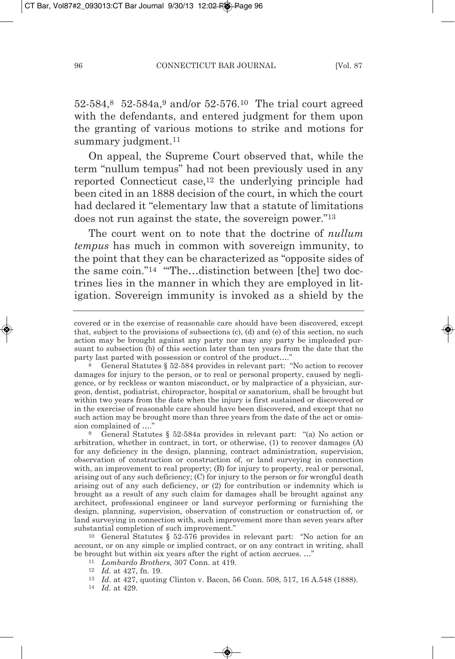52-584,8 52-584a,9 and/or 52-576.10 The trial court agreed with the defendants, and entered judgment for them upon the granting of various motions to strike and motions for summary judgment.<sup>11</sup>

On appeal, the Supreme Court observed that, while the term "nullum tempus" had not been previously used in any reported Connecticut case,12 the underlying principle had been cited in an 1888 decision of the court, in which the court had declared it "elementary law that a statute of limitations does not run against the state, the sovereign power."13

The court went on to note that the doctrine of *nullum tempus* has much in common with sovereign immunity, to the point that they can be characterized as "opposite sides of the same coin."<sup>14</sup> "The...distinction between [the] two doctrines lies in the manner in which they are employed in litigation. Sovereign immunity is invoked as a shield by the

10 General Statutes § 52-576 provides in relevant part: "No action for an account, or on any simple or implied contract, or on any contract in writing, shall be brought but within six years after the right of action accrues. …"

- 11 *Lombardo Brothers,* 307 Conn. at 419.
- 12 *Id.* at 427, fn. 19.
- 13 *Id.* at 427, quoting Clinton v. Bacon, 56 Conn. 508, 517, 16 A.548 (1888).
- 14 *Id.* at 429.

covered or in the exercise of reasonable care should have been discovered, except that, subject to the provisions of subsections (c), (d) and (e) of this section, no such action may be brought against any party nor may any party be impleaded pursuant to subsection (b) of this section later than ten years from the date that the party last parted with possession or control of the product...."

General Statutes § 52-584 provides in relevant part: "No action to recover damages for injury to the person, or to real or personal property, caused by negligence, or by reckless or wanton misconduct, or by malpractice of a physician, surgeon, dentist, podiatrist, chiropractor, hospital or sanatorium, shall be brought but within two years from the date when the injury is first sustained or discovered or in the exercise of reasonable care should have been discovered, and except that no such action may be brought more than three years from the date of the act or omission complained of …."

<sup>9</sup> General Statutes § 52-584a provides in relevant part: "(a) No action or arbitration, whether in contract, in tort, or otherwise, (1) to recover damages (A) for any deficiency in the design, planning, contract administration, supervision, observation of construction or construction of, or land surveying in connection with, an improvement to real property; (B) for injury to property, real or personal, arising out of any such deficiency; (C) for injury to the person or for wrongful death arising out of any such deficiency, or (2) for contribution or indemnity which is brought as a result of any such claim for damages shall be brought against any architect, professional engineer or land surveyor performing or furnishing the design, planning, supervision, observation of construction or construction of, or land surveying in connection with, such improvement more than seven years after substantial completion of such improvement."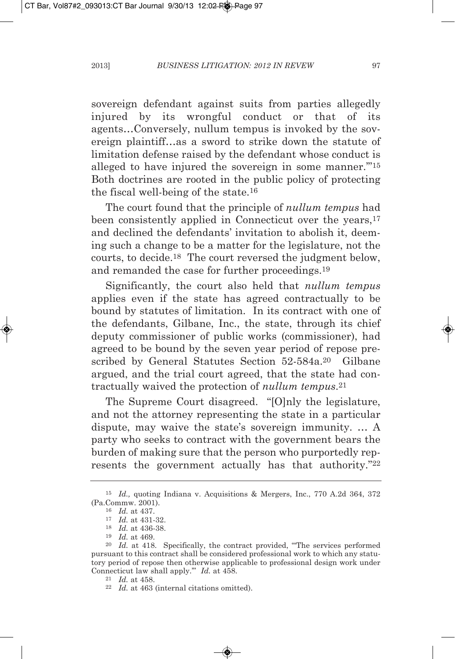sovereign defendant against suits from parties allegedly injured by its wrongful conduct or that of its agents…Conversely, nullum tempus is invoked by the sovereign plaintiff…as a sword to strike down the statute of limitation defense raised by the defendant whose conduct is alleged to have injured the sovereign in some manner.'"15 Both doctrines are rooted in the public policy of protecting the fiscal well-being of the state.16

The court found that the principle of *nullum tempus* had been consistently applied in Connecticut over the vears.<sup>17</sup> and declined the defendants' invitation to abolish it, deeming such a change to be a matter for the legislature, not the courts, to decide.18 The court reversed the judgment below, and remanded the case for further proceedings.19

Significantly, the court also held that *nullum tempus* applies even if the state has agreed contractually to be bound by statutes of limitation. In its contract with one of the defendants, Gilbane, Inc., the state, through its chief deputy commissioner of public works (commissioner), had agreed to be bound by the seven year period of repose prescribed by General Statutes Section 52-584a.20 Gilbane argued, and the trial court agreed, that the state had contractually waived the protection of *nullum tempus*.21

The Supreme Court disagreed. "[O]nly the legislature, and not the attorney representing the state in a particular dispute, may waive the state's sovereign immunity. … A party who seeks to contract with the government bears the burden of making sure that the person who purportedly represents the government actually has that authority."22

<sup>15</sup> *Id.,* quoting Indiana v. Acquisitions & mergers, Inc., 770 A.2d 364, 372 (Pa.Commw. 2001).

<sup>16</sup> *Id.* at 437.

<sup>17</sup> *Id.* at 431-32.

<sup>18</sup> *Id.* at 436-38.

<sup>19</sup> *Id.* at 469.

<sup>20</sup> *Id.* at 418. Specifically, the contract provided, "'The services performed pursuant to this contract shall be considered professional work to which any statutory period of repose then otherwise applicable to professional design work under Connecticut law shall apply.'" *Id.* at 458.

<sup>21</sup> *Id.* at 458.

<sup>22</sup> *Id.* at 463 (internal citations omitted).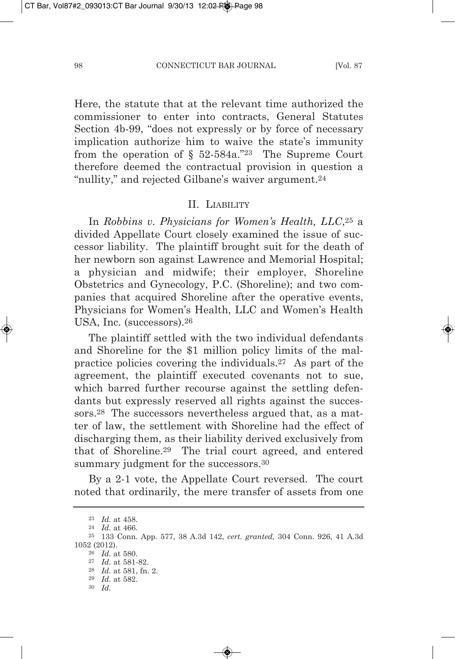Here, the statute that at the relevant time authorized the commissioner to enter into contracts, General Statutes Section 4b-99, "does not expressly or by force of necessary implication authorize him to waive the state's immunity from the operation of  $\S$  52-584a."<sup>23</sup> The Supreme Court therefore deemed the contractual provision in question a "nullity," and rejected Gilbane's waiver argument.24

#### II. LIABILITy

In *Robbins v. Physicians for women's Health, LLC*,25 a divided Appellate Court closely examined the issue of successor liability. The plaintiff brought suit for the death of her newborn son against Lawrence and Memorial Hospital; a physician and midwife; their employer, Shoreline Obstetrics and Gynecology, P.C. (Shoreline); and two companies that acquired Shoreline after the operative events, Physicians for Women's Health, LLC and Women's Health USA, Inc. (successors).26

The plaintiff settled with the two individual defendants and Shoreline for the \$1 million policy limits of the malpractice policies covering the individuals.27 As part of the agreement, the plaintiff executed covenants not to sue, which barred further recourse against the settling defendants but expressly reserved all rights against the successors.28 The successors nevertheless argued that, as a matter of law, the settlement with Shoreline had the effect of discharging them, as their liability derived exclusively from that of Shoreline.29 The trial court agreed, and entered summary judgment for the successors.<sup>30</sup>

By a 2-1 vote, the Appellate Court reversed. The court noted that ordinarily, the mere transfer of assets from one

30 *Id.*

<sup>23</sup> *Id.* at 458.

<sup>24</sup> *Id.* at 466.

<sup>25</sup> 133 Conn. App. 577, 38 A.3d 142, *cert. granted,* 304 Conn. 926, 41 A.3d 1052 (2012).

<sup>26</sup> *Id.* at 580.

<sup>27</sup> *Id.* at 581-82.

<sup>28</sup> *Id.* at 581, fn. 2. 29 *Id.* at 582.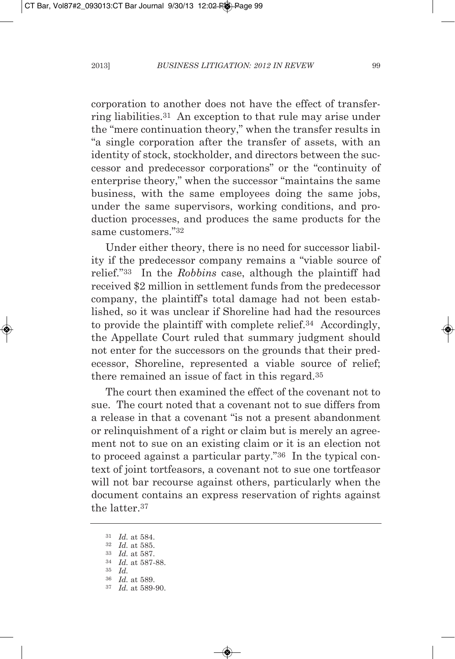corporation to another does not have the effect of transferring liabilities.31 An exception to that rule may arise under the "mere continuation theory," when the transfer results in "a single corporation after the transfer of assets, with an identity of stock, stockholder, and directors between the successor and predecessor corporations" or the "continuity of enterprise theory," when the successor "maintains the same business, with the same employees doing the same jobs, under the same supervisors, working conditions, and production processes, and produces the same products for the same customers."32

Under either theory, there is no need for successor liability if the predecessor company remains a "viable source of relief."33 In the *Robbins* case, although the plaintiff had received \$2 million in settlement funds from the predecessor company, the plaintiff's total damage had not been established, so it was unclear if Shoreline had had the resources to provide the plaintiff with complete relief.34 Accordingly, the Appellate Court ruled that summary judgment should not enter for the successors on the grounds that their predecessor, Shoreline, represented a viable source of relief; there remained an issue of fact in this regard.35

The court then examined the effect of the covenant not to sue. The court noted that a covenant not to sue differs from a release in that a covenant "is not a present abandonment or relinquishment of a right or claim but is merely an agreement not to sue on an existing claim or it is an election not to proceed against a particular party."36 In the typical context of joint tortfeasors, a covenant not to sue one tortfeasor will not bar recourse against others, particularly when the document contains an express reservation of rights against the latter.37

<sup>31</sup> *Id.* at 584.

<sup>32</sup> *Id.* at 585.

<sup>33</sup> *Id.* at 587.

<sup>34</sup> *Id.* at 587-88.

<sup>35</sup> *Id.*

<sup>36</sup> *Id.* at 589.

<sup>37</sup> *Id.* at 589-90.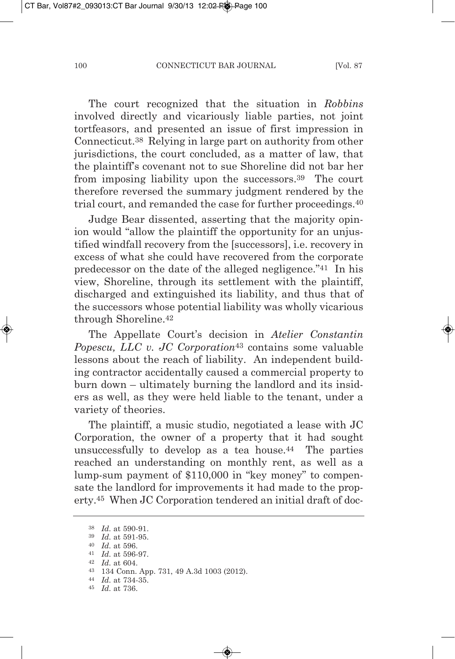The court recognized that the situation in *Robbins* involved directly and vicariously liable parties, not joint tortfeasors, and presented an issue of first impression in Connecticut.38 Relying in large part on authority from other jurisdictions, the court concluded, as a matter of law, that the plaintiff's covenant not to sue Shoreline did not bar her from imposing liability upon the successors.39 The court therefore reversed the summary judgment rendered by the trial court, and remanded the case for further proceedings.40

Judge Bear dissented, asserting that the majority opinion would "allow the plaintiff the opportunity for an unjustified windfall recovery from the [successors], i.e. recovery in excess of what she could have recovered from the corporate predecessor on the date of the alleged negligence."41 In his view, Shoreline, through its settlement with the plaintiff, discharged and extinguished its liability, and thus that of the successors whose potential liability was wholly vicarious through Shoreline.42

The Appellate Court's decision in *atelier Constantin Popescu, LLC v. JC Corporation*<sup>43</sup> contains some valuable lessons about the reach of liability. An independent building contractor accidentally caused a commercial property to burn down – ultimately burning the landlord and its insiders as well, as they were held liable to the tenant, under a variety of theories.

The plaintiff, a music studio, negotiated a lease with JC Corporation, the owner of a property that it had sought unsuccessfully to develop as a tea house.44 The parties reached an understanding on monthly rent, as well as a lump-sum payment of \$110,000 in "key money" to compensate the landlord for improvements it had made to the property.45 When JC Corporation tendered an initial draft of doc-

<sup>38</sup> *Id.* at 590-91.

<sup>39</sup> *Id.* at 591-95.

<sup>40</sup> *Id.* at 596.

<sup>41</sup> *Id.* at 596-97.

<sup>42</sup> *Id.* at 604.

<sup>43</sup> 134 Conn. App. 731, 49 A.3d 1003 (2012).

<sup>44</sup> *Id.* at 734-35.

<sup>45</sup> *Id.* at 736.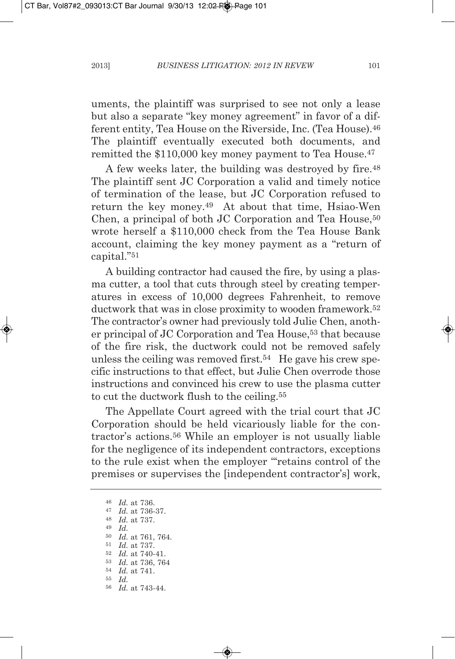uments, the plaintiff was surprised to see not only a lease but also a separate "key money agreement" in favor of a different entity, Tea House on the Riverside, Inc. (Tea House).46 The plaintiff eventually executed both documents, and remitted the \$110,000 key money payment to Tea House.47

A few weeks later, the building was destroyed by fire.<sup>48</sup> The plaintiff sent JC Corporation a valid and timely notice of termination of the lease, but JC Corporation refused to return the key money.49 At about that time, Hsiao-Wen Chen, a principal of both JC Corporation and Tea House,<sup>50</sup> wrote herself a \$110,000 check from the Tea House Bank account, claiming the key money payment as a "return of capital."51

A building contractor had caused the fire, by using a plasma cutter, a tool that cuts through steel by creating temperatures in excess of 10,000 degrees Fahrenheit, to remove ductwork that was in close proximity to wooden framework.<sup>52</sup> The contractor's owner had previously told Julie Chen, another principal of JC Corporation and Tea House,53 that because of the fire risk, the ductwork could not be removed safely unless the ceiling was removed first.<sup>54</sup> He gave his crew specific instructions to that effect, but Julie Chen overrode those instructions and convinced his crew to use the plasma cutter to cut the ductwork flush to the ceiling.55

The Appellate Court agreed with the trial court that JC Corporation should be held vicariously liable for the contractor's actions.56 While an employer is not usually liable for the negligence of its independent contractors, exceptions to the rule exist when the employer "'retains control of the premises or supervises the [independent contractor's] work,

 *Id.* at 736. *Id.* at 736-37. *Id.* at 737. <sup>49</sup> *Id. Id.* at 761, 764. *Id.* at 737. *Id.* at 740-41. *Id.* at 736, 764 *Id.* at 741. 55 *Id. Id.* at 743-44.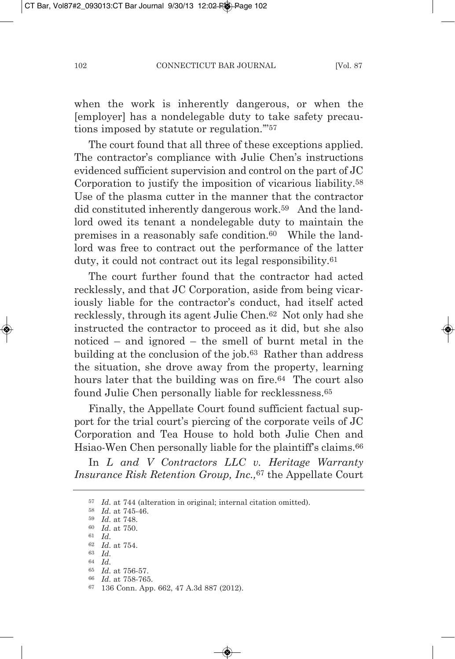when the work is inherently dangerous, or when the [employer] has a nondelegable duty to take safety precautions imposed by statute or regulation.'"57

The court found that all three of these exceptions applied. The contractor's compliance with Julie Chen's instructions evidenced sufficient supervision and control on the part of JC Corporation to justify the imposition of vicarious liability.58 Use of the plasma cutter in the manner that the contractor did constituted inherently dangerous work.59 And the landlord owed its tenant a nondelegable duty to maintain the premises in a reasonably safe condition.60 While the landlord was free to contract out the performance of the latter duty, it could not contract out its legal responsibility.61

The court further found that the contractor had acted recklessly, and that JC Corporation, aside from being vicariously liable for the contractor's conduct, had itself acted recklessly, through its agent Julie Chen.62 Not only had she instructed the contractor to proceed as it did, but she also noticed – and ignored – the smell of burnt metal in the building at the conclusion of the job.63 Rather than address the situation, she drove away from the property, learning hours later that the building was on fire.<sup>64</sup> The court also found Julie Chen personally liable for recklessness.65

Finally, the Appellate Court found sufficient factual support for the trial court's piercing of the corporate veils of JC Corporation and Tea House to hold both Julie Chen and Hsiao-Wen Chen personally liable for the plaintiff's claims.<sup>66</sup>

In *L and v Contractors LLC v. Heritage warranty Insurance Risk Retention group, Inc.,*<sup>67</sup> the Appellate Court

<sup>57</sup> *Id.* at 744 (alteration in original; internal citation omitted).

<sup>58</sup> *Id.* at 745-46.

<sup>59</sup> *Id.* at 748.

<sup>60</sup> *Id.* at 750.

<sup>61</sup> *Id.*

<sup>62</sup> *Id.* at 754.

<sup>63</sup> *Id.*

<sup>64</sup> *Id.*

<sup>65</sup> *Id.* at 756-57. 66 *Id.* at 758-765.

<sup>67</sup> 136 Conn. App. 662, 47 A.3d 887 (2012).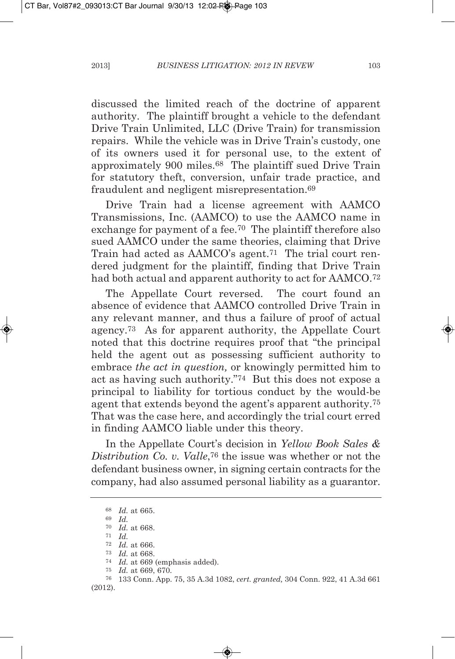discussed the limited reach of the doctrine of apparent authority. The plaintiff brought a vehicle to the defendant Drive Train Unlimited, LLC (Drive Train) for transmission repairs. While the vehicle was in Drive Train's custody, one of its owners used it for personal use, to the extent of approximately 900 miles.<sup>68</sup> The plaintiff sued Drive Train for statutory theft, conversion, unfair trade practice, and fraudulent and negligent misrepresentation.69

Drive Train had a license agreement with AAMCO Transmissions, Inc. (AAmCO) to use the AAmCO name in exchange for payment of a fee.70 The plaintiff therefore also sued AAMCO under the same theories, claiming that Drive Train had acted as AAMCO's agent.<sup>71</sup> The trial court rendered judgment for the plaintiff, finding that Drive Train had both actual and apparent authority to act for AAMCO.<sup>72</sup>

The Appellate Court reversed. The court found an absence of evidence that AAMCO controlled Drive Train in any relevant manner, and thus a failure of proof of actual agency.73 As for apparent authority, the Appellate Court noted that this doctrine requires proof that "the principal held the agent out as possessing sufficient authority to embrace *the act in question,* or knowingly permitted him to act as having such authority."74 But this does not expose a principal to liability for tortious conduct by the would-be agent that extends beyond the agent's apparent authority.75 That was the case here, and accordingly the trial court erred in finding AAmCO liable under this theory.

In the Appellate Court's decision in *Yellow Book Sales & Distribution Co. v. valle*,76 the issue was whether or not the defendant business owner, in signing certain contracts for the company, had also assumed personal liability as a guarantor.

<sup>68</sup> *Id.* at 665.

<sup>69</sup> *Id.*

<sup>70</sup> *Id.* at 668.

<sup>71</sup> *Id.*

<sup>72</sup> *Id.* at 666.

<sup>73</sup> *Id.* at 668.

<sup>74</sup> *Id.* at 669 (emphasis added).

<sup>75</sup> *Id.* at 669, 670.

<sup>76</sup> 133 Conn. App. 75, 35 A.3d 1082, *cert. granted,* 304 Conn. 922, 41 A.3d 661 (2012).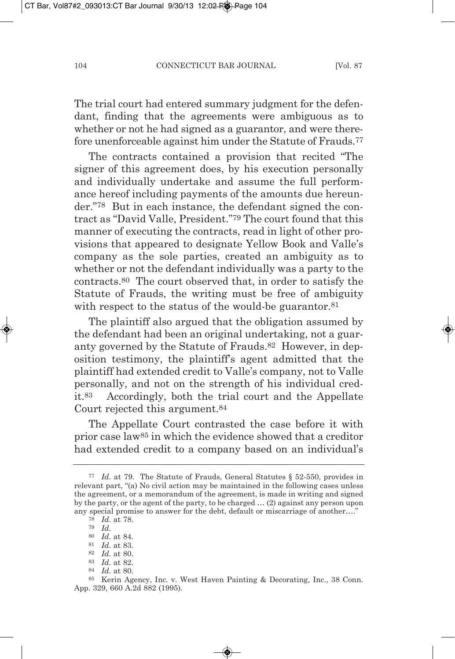The trial court had entered summary judgment for the defendant, finding that the agreements were ambiguous as to whether or not he had signed as a guarantor, and were therefore unenforceable against him under the Statute of Frauds.77

The contracts contained a provision that recited "The signer of this agreement does, by his execution personally and individually undertake and assume the full performance hereof including payments of the amounts due hereunder."78 But in each instance, the defendant signed the contract as "David Valle, President."<sup>79</sup> The court found that this manner of executing the contracts, read in light of other provisions that appeared to designate yellow Book and Valle's company as the sole parties, created an ambiguity as to whether or not the defendant individually was a party to the contracts.80 The court observed that, in order to satisfy the Statute of Frauds, the writing must be free of ambiguity with respect to the status of the would-be guarantor.<sup>81</sup>

The plaintiff also argued that the obligation assumed by the defendant had been an original undertaking, not a guaranty governed by the Statute of Frauds.82 However, in deposition testimony, the plaintiff's agent admitted that the plaintiff had extended credit to Valle's company, not to Valle personally, and not on the strength of his individual credit.83 Accordingly, both the trial court and the Appellate Court rejected this argument.84

The Appellate Court contrasted the case before it with prior case law85 in which the evidence showed that a creditor had extended credit to a company based on an individual's

- 83 *Id.* at 82.
- 84 *Id.* at 80.

<sup>77</sup> *Id.* at 79. The Statute of Frauds, General Statutes § 52-550, provides in relevant part, "(a) No civil action may be maintained in the following cases unless the agreement, or a memorandum of the agreement, is made in writing and signed by the party, or the agent of the party, to be charged … (2) against any person upon any special promise to answer for the debt, default or miscarriage of another…."

<sup>78</sup> *Id.* at 78.

<sup>79</sup> *Id.*

<sup>80</sup> *Id.* at 84.

<sup>81</sup> *Id.* at 83.

<sup>82</sup> *Id.* at 80.

<sup>85</sup> Kerin Agency, Inc. v. West Haven Painting & Decorating, Inc., 38 Conn. App. 329, 660 A.2d 882 (1995).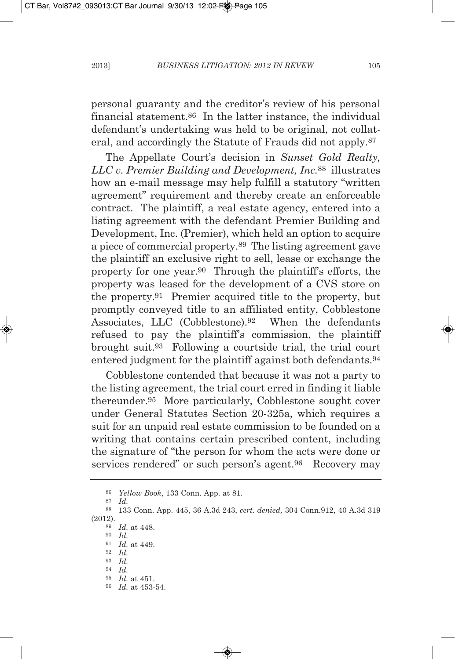personal guaranty and the creditor's review of his personal financial statement.86 In the latter instance, the individual defendant's undertaking was held to be original, not collateral, and accordingly the Statute of Frauds did not apply.87

The Appellate Court's decision in *Sunset gold Realty, LLC v. Premier Building and Development, Inc.*<sup>88</sup> illustrates how an e-mail message may help fulfill a statutory "written agreement" requirement and thereby create an enforceable contract. The plaintiff, a real estate agency, entered into a listing agreement with the defendant Premier Building and Development, Inc. (Premier), which held an option to acquire a piece of commercial property.89 The listing agreement gave the plaintiff an exclusive right to sell, lease or exchange the property for one year.90 Through the plaintiff's efforts, the property was leased for the development of a CVS store on the property.91 Premier acquired title to the property, but promptly conveyed title to an affiliated entity, Cobblestone Associates, LLC (Cobblestone).92 When the defendants refused to pay the plaintiff's commission, the plaintiff brought suit.93 Following a courtside trial, the trial court entered judgment for the plaintiff against both defendants.94

Cobblestone contended that because it was not a party to the listing agreement, the trial court erred in finding it liable thereunder.95 more particularly, Cobblestone sought cover under General Statutes Section 20-325a, which requires a suit for an unpaid real estate commission to be founded on a writing that contains certain prescribed content, including the signature of "the person for whom the acts were done or services rendered" or such person's agent.<sup>96</sup> Recovery may

<sup>87</sup> *Id.*

<sup>86</sup> *Yellow Book*, 133 Conn. App. at 81.

<sup>88</sup> 133 Conn. App. 445, 36 A.3d 243, *cert. denied,* 304 Conn.912, 40 A.3d 319 (2012). <sup>89</sup> *Id.* at 448.

<sup>90</sup> *Id.*

<sup>91</sup> *Id.* at 449.

<sup>92</sup> *Id.*

<sup>93</sup> *Id.*

<sup>94</sup> *Id.*

<sup>95</sup> *Id.* at 451.

<sup>96</sup> *Id.* at 453-54.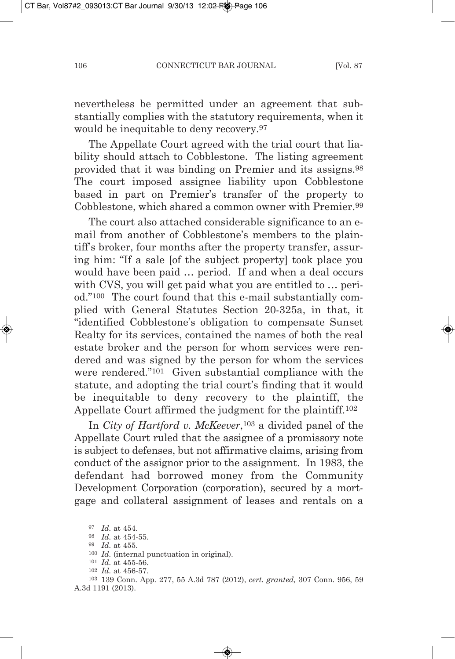nevertheless be permitted under an agreement that substantially complies with the statutory requirements, when it would be inequitable to deny recovery.97

The Appellate Court agreed with the trial court that liability should attach to Cobblestone. The listing agreement provided that it was binding on Premier and its assigns.98 The court imposed assignee liability upon Cobblestone based in part on Premier's transfer of the property to Cobblestone, which shared a common owner with Premier.99

The court also attached considerable significance to an email from another of Cobblestone's members to the plaintiff's broker, four months after the property transfer, assuring him: "If a sale [of the subject property] took place you would have been paid … period. If and when a deal occurs with CVS, you will get paid what you are entitled to … period."100 The court found that this e-mail substantially complied with General Statutes Section 20-325a, in that, it "identified Cobblestone's obligation to compensate Sunset Realty for its services, contained the names of both the real estate broker and the person for whom services were rendered and was signed by the person for whom the services were rendered."101 Given substantial compliance with the statute, and adopting the trial court's finding that it would be inequitable to deny recovery to the plaintiff, the Appellate Court affirmed the judgment for the plaintiff.102

In *City of Hartford v. McKeever*,103 a divided panel of the Appellate Court ruled that the assignee of a promissory note is subject to defenses, but not affirmative claims, arising from conduct of the assignor prior to the assignment. In 1983, the defendant had borrowed money from the Community Development Corporation (corporation), secured by a mortgage and collateral assignment of leases and rentals on a

<sup>97</sup> *Id.* at 454.

<sup>98</sup> *Id.* at 454-55.

<sup>99</sup> *Id.* at 455.

<sup>100</sup> *Id.* (internal punctuation in original).

<sup>101</sup> *Id.* at 455-56.

<sup>102</sup> *Id.* at 456-57.

<sup>103</sup> 139 Conn. App. 277, 55 A.3d 787 (2012), *cert. granted,* 307 Conn. 956, 59 A.3d 1191 (2013).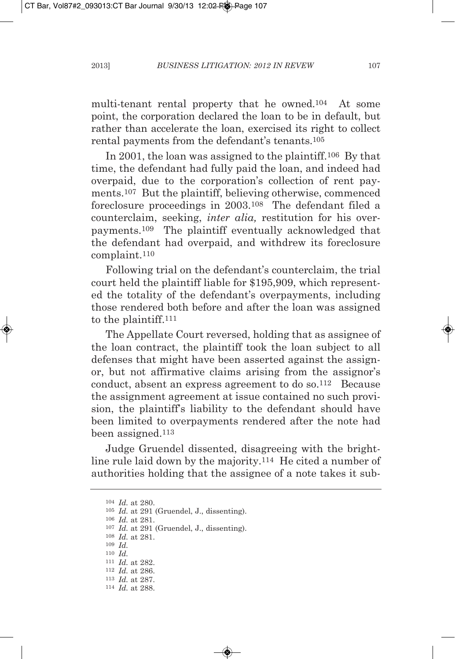multi-tenant rental property that he owned.104 At some point, the corporation declared the loan to be in default, but rather than accelerate the loan, exercised its right to collect rental payments from the defendant's tenants.105

In 2001, the loan was assigned to the plaintiff.106 By that time, the defendant had fully paid the loan, and indeed had overpaid, due to the corporation's collection of rent payments.107 But the plaintiff, believing otherwise, commenced foreclosure proceedings in 2003.108 The defendant filed a counterclaim, seeking, *inter alia,* restitution for his overpayments.109 The plaintiff eventually acknowledged that the defendant had overpaid, and withdrew its foreclosure complaint.110

Following trial on the defendant's counterclaim, the trial court held the plaintiff liable for \$195,909, which represented the totality of the defendant's overpayments, including those rendered both before and after the loan was assigned to the plaintiff.111

The Appellate Court reversed, holding that as assignee of the loan contract, the plaintiff took the loan subject to all defenses that might have been asserted against the assignor, but not affirmative claims arising from the assignor's conduct, absent an express agreement to do so.112 Because the assignment agreement at issue contained no such provision, the plaintiff's liability to the defendant should have been limited to overpayments rendered after the note had been assigned.113

Judge Gruendel dissented, disagreeing with the brightline rule laid down by the majority.114 He cited a number of authorities holding that the assignee of a note takes it sub-

<sup>104</sup> *Id.* at 280.

<sup>105</sup> *Id.* at 291 (Gruendel, J., dissenting).

<sup>106</sup> *Id.* at 281.

<sup>107</sup> *Id.* at 291 (Gruendel, J., dissenting).

108 *Id.* at 281.

109 *Id.*

110 *Id.*

111 *Id.* at 282.

112 *Id.* at 286.

113 *Id.* at 287.

114 *Id.* at 288.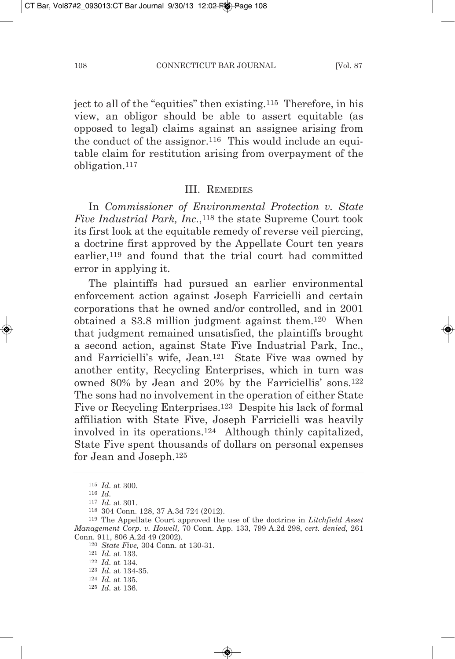ject to all of the "equities" then existing.115 Therefore, in his view, an obligor should be able to assert equitable (as opposed to legal) claims against an assignee arising from the conduct of the assignor.<sup>116</sup> This would include an equitable claim for restitution arising from overpayment of the obligation.117

#### III. REmEdIES

In *Commissioner* of *Environmental Protection v. State Five Industrial Park, Inc.*,118 the state Supreme Court took its first look at the equitable remedy of reverse veil piercing, a doctrine first approved by the Appellate Court ten years earlier,119 and found that the trial court had committed error in applying it.

The plaintiffs had pursued an earlier environmental enforcement action against Joseph Farricielli and certain corporations that he owned and/or controlled, and in 2001 obtained a \$3.8 million judgment against them.120 When that judgment remained unsatisfied, the plaintiffs brought a second action, against State Five Industrial Park, Inc., and Farricielli's wife, Jean.121 State Five was owned by another entity, Recycling Enterprises, which in turn was owned 80% by Jean and 20% by the Farriciellis' sons.122 The sons had no involvement in the operation of either State Five or Recycling Enterprises.<sup>123</sup> Despite his lack of formal affiliation with State Five, Joseph Farricielli was heavily involved in its operations.124 Although thinly capitalized, State Five spent thousands of dollars on personal expenses for Jean and Joseph.125

120 *State Five,* 304 Conn. at 130-31.

<sup>115</sup> *Id.* at 300.

<sup>116</sup> *Id.*

<sup>117</sup> *Id.* at 301.

<sup>118</sup> 304 Conn. 128, 37 A.3d 724 (2012).

<sup>119</sup> The Appellate Court approved the use of the doctrine in *Litchfield asset Management Corp. v. Howell,* 70 Conn. App. 133, 799 A.2d 298, *cert. denied,* 261 Conn. 911, 806 A.2d 49 (2002).

<sup>121</sup> *Id.* at 133.

<sup>122</sup> *Id.* at 134.

<sup>123</sup> *Id.* at 134-35.

<sup>124</sup> *Id.* at 135.

<sup>125</sup> *Id.* at 136.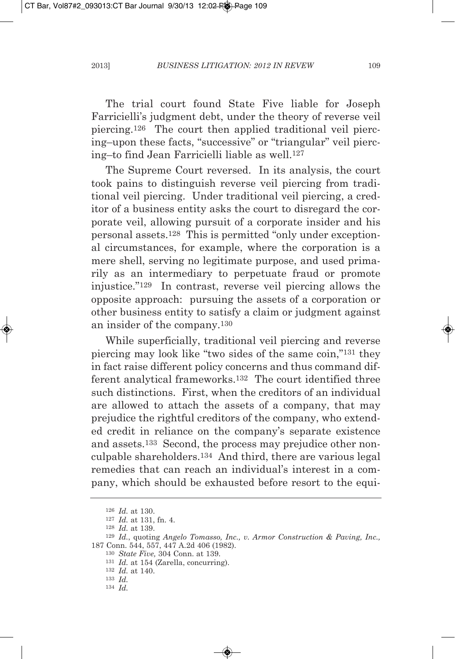The trial court found State Five liable for Joseph Farricielli's judgment debt, under the theory of reverse veil piercing.126 The court then applied traditional veil piercing–upon these facts, "successive" or "triangular" veil piercing–to find Jean Farricielli liable as well.127

The Supreme Court reversed. In its analysis, the court took pains to distinguish reverse veil piercing from traditional veil piercing. Under traditional veil piercing, a creditor of a business entity asks the court to disregard the corporate veil, allowing pursuit of a corporate insider and his personal assets.128 This is permitted "only under exceptional circumstances, for example, where the corporation is a mere shell, serving no legitimate purpose, and used primarily as an intermediary to perpetuate fraud or promote injustice."129 In contrast, reverse veil piercing allows the opposite approach: pursuing the assets of a corporation or other business entity to satisfy a claim or judgment against an insider of the company.130

While superficially, traditional veil piercing and reverse piercing may look like "two sides of the same coin,"131 they in fact raise different policy concerns and thus command different analytical frameworks.132 The court identified three such distinctions. First, when the creditors of an individual are allowed to attach the assets of a company, that may prejudice the rightful creditors of the company, who extended credit in reliance on the company's separate existence and assets.133 Second, the process may prejudice other nonculpable shareholders.134 And third, there are various legal remedies that can reach an individual's interest in a company, which should be exhausted before resort to the equi-

<sup>126</sup> *Id.* at 130.

<sup>127</sup> *Id.* at 131, fn. 4.

<sup>128</sup> *Id.* at 139.

<sup>129</sup> *Id.*, quoting *angelo tomasso, Inc., v. armor Construction & Paving, Inc.,* 187 Conn. 544, 557, 447 A.2d 406 (1982).

<sup>130</sup> *State Five,* 304 Conn. at 139.

<sup>131</sup> *Id.* at 154 (Zarella, concurring).

<sup>132</sup> *Id.* at 140.

<sup>133</sup> *Id.*

<sup>134</sup> *Id.*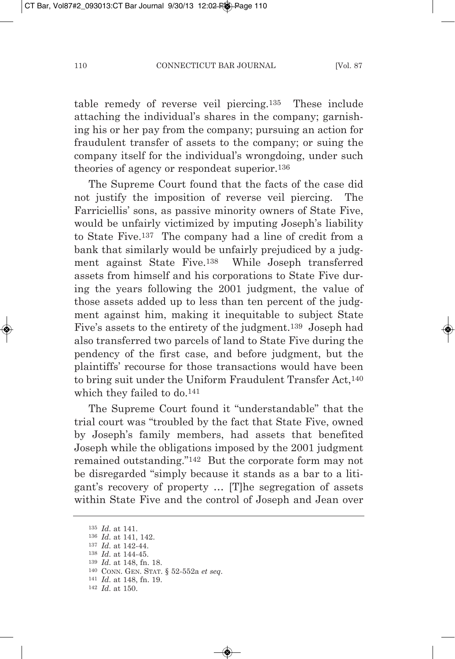table remedy of reverse veil piercing.135 These include attaching the individual's shares in the company; garnishing his or her pay from the company; pursuing an action for fraudulent transfer of assets to the company; or suing the company itself for the individual's wrongdoing, under such theories of agency or respondeat superior.136

The Supreme Court found that the facts of the case did not justify the imposition of reverse veil piercing. The Farriciellis' sons, as passive minority owners of State Five, would be unfairly victimized by imputing Joseph's liability to State Five.137 The company had a line of credit from a bank that similarly would be unfairly prejudiced by a judgment against State Five.138 While Joseph transferred assets from himself and his corporations to State Five during the years following the 2001 judgment, the value of those assets added up to less than ten percent of the judgment against him, making it inequitable to subject State Five's assets to the entirety of the judgment.139 Joseph had also transferred two parcels of land to State Five during the pendency of the first case, and before judgment, but the plaintiffs' recourse for those transactions would have been to bring suit under the Uniform Fraudulent Transfer Act,<sup>140</sup> which they failed to do.141

The Supreme Court found it "understandable" that the trial court was "troubled by the fact that State Five, owned by Joseph's family members, had assets that benefited Joseph while the obligations imposed by the 2001 judgment remained outstanding."142 But the corporate form may not be disregarded "simply because it stands as a bar to a litigant's recovery of property … [T]he segregation of assets within State Five and the control of Joseph and Jean over

142 *Id.* at 150.

<sup>135</sup> *Id.* at 141.

<sup>136</sup> *Id.* at 141, 142.

<sup>137</sup> *Id.* at 142-44.

<sup>138</sup> *Id.* at 144-45.

<sup>139</sup> *Id.* at 148, fn. 18.

<sup>140</sup> CONN. GEN. STAT. § 52-552a *et seq.*

<sup>141</sup> *Id.* at 148, fn. 19.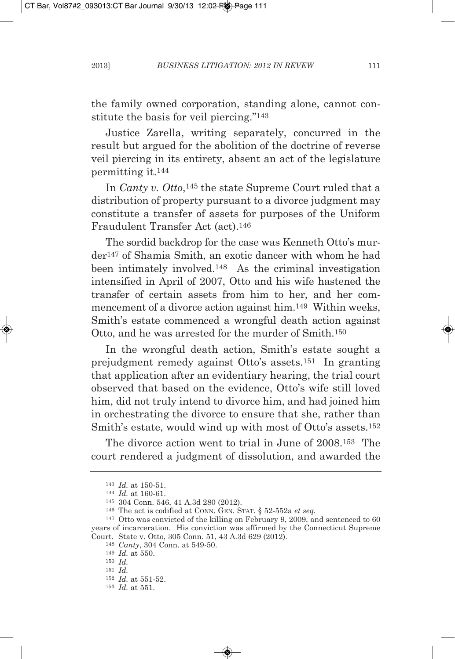the family owned corporation, standing alone, cannot constitute the basis for veil piercing."143

Justice Zarella, writing separately, concurred in the result but argued for the abolition of the doctrine of reverse veil piercing in its entirety, absent an act of the legislature permitting it.144

In *Canty v. otto*,145 the state Supreme Court ruled that a distribution of property pursuant to a divorce judgment may constitute a transfer of assets for purposes of the Uniform Fraudulent Transfer Act (act).146

The sordid backdrop for the case was Kenneth Otto's murder147 of Shamia Smith, an exotic dancer with whom he had been intimately involved.148 As the criminal investigation intensified in April of 2007, Otto and his wife hastened the transfer of certain assets from him to her, and her commencement of a divorce action against him.149 Within weeks, Smith's estate commenced a wrongful death action against Otto, and he was arrested for the murder of Smith.150

In the wrongful death action, Smith's estate sought a prejudgment remedy against Otto's assets.151 In granting that application after an evidentiary hearing, the trial court observed that based on the evidence, Otto's wife still loved him, did not truly intend to divorce him, and had joined him in orchestrating the divorce to ensure that she, rather than Smith's estate, would wind up with most of Otto's assets.152

The divorce action went to trial in June of 2008.153 The court rendered a judgment of dissolution, and awarded the

<sup>143</sup> *Id.* at 150-51.

<sup>144</sup> *Id.* at 160-61.

<sup>145</sup> 304 Conn. 546, 41 A.3d 280 (2012).

<sup>146</sup> The act is codified at CONN. GEN. STAT. § 52-552a *et seq.*

<sup>147</sup> Otto was convicted of the killing on February 9, 2009, and sentenced to 60 years of incarceration. His conviction was affirmed by the Connecticut Supreme Court. State v. Otto, 305 Conn. 51, 43 A.3d 629 (2012).

<sup>148</sup> *Canty*, 304 Conn. at 549-50.

<sup>149</sup> *Id.* at 550.

<sup>150</sup> *Id.*

<sup>151</sup> *Id.*

<sup>152</sup> *Id.* at 551-52.

<sup>153</sup> *Id.* at 551.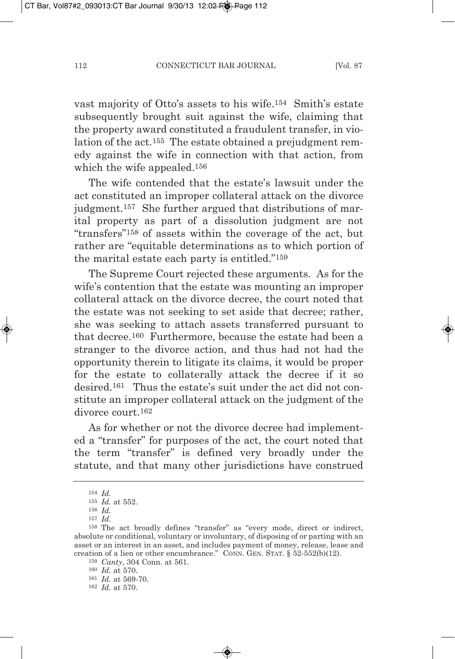vast majority of Otto's assets to his wife.154 Smith's estate subsequently brought suit against the wife, claiming that the property award constituted a fraudulent transfer, in violation of the act.155 The estate obtained a prejudgment remedy against the wife in connection with that action, from which the wife appealed.156

The wife contended that the estate's lawsuit under the act constituted an improper collateral attack on the divorce judgment.157 She further argued that distributions of marital property as part of a dissolution judgment are not "transfers"158 of assets within the coverage of the act, but rather are "equitable determinations as to which portion of the marital estate each party is entitled."159

The Supreme Court rejected these arguments. As for the wife's contention that the estate was mounting an improper collateral attack on the divorce decree, the court noted that the estate was not seeking to set aside that decree; rather, she was seeking to attach assets transferred pursuant to that decree.160 Furthermore, because the estate had been a stranger to the divorce action, and thus had not had the opportunity therein to litigate its claims, it would be proper for the estate to collaterally attack the decree if it so desired.161 Thus the estate's suit under the act did not constitute an improper collateral attack on the judgment of the divorce court.162

As for whether or not the divorce decree had implemented a "transfer" for purposes of the act, the court noted that the term "transfer" is defined very broadly under the statute, and that many other jurisdictions have construed

<sup>157</sup> *Id.*

<sup>154</sup> *Id.*

<sup>155</sup> *Id.* at 552.

<sup>156</sup> *Id.*

<sup>158</sup> The act broadly defines "transfer" as "every mode, direct or indirect, absolute or conditional, voluntary or involuntary, of disposing of or parting with an asset or an interest in an asset, and includes payment of money, release, lease and creation of a lien or other encumbrance." CONN. GEN. STAT. § 52-552(b)(12).

<sup>159</sup> *Canty*, 304 Conn. at 561.

<sup>160</sup> *Id.* at 570.

<sup>161</sup> *Id.* at 569-70.

<sup>162</sup> *Id.* at 570.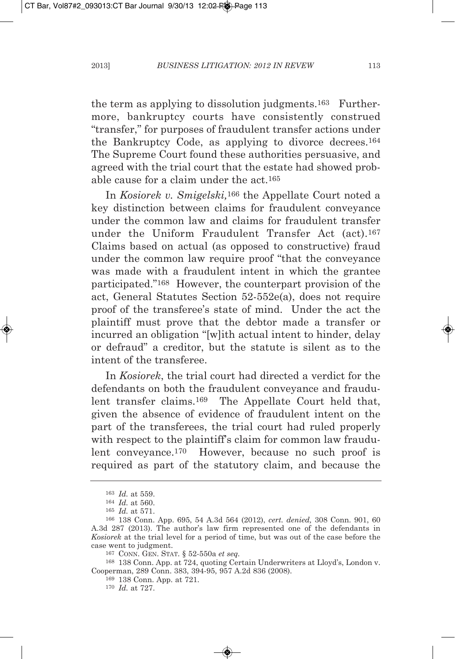the term as applying to dissolution judgments.163 Furthermore, bankruptcy courts have consistently construed "transfer," for purposes of fraudulent transfer actions under the Bankruptcy Code, as applying to divorce decrees.164 The Supreme Court found these authorities persuasive, and agreed with the trial court that the estate had showed probable cause for a claim under the act.165

In *Kosiorek v. Smigelski,*166 the Appellate Court noted a key distinction between claims for fraudulent conveyance under the common law and claims for fraudulent transfer under the Uniform Fraudulent Transfer Act (act).167 Claims based on actual (as opposed to constructive) fraud under the common law require proof "that the conveyance was made with a fraudulent intent in which the grantee participated."168 However, the counterpart provision of the act, General Statutes Section 52-552e(a), does not require proof of the transferee's state of mind. Under the act the plaintiff must prove that the debtor made a transfer or incurred an obligation "[w]ith actual intent to hinder, delay or defraud" a creditor, but the statute is silent as to the intent of the transferee.

In *Kosiorek*, the trial court had directed a verdict for the defendants on both the fraudulent conveyance and fraudulent transfer claims.169 The Appellate Court held that, given the absence of evidence of fraudulent intent on the part of the transferees, the trial court had ruled properly with respect to the plaintiff's claim for common law fraudulent conveyance.170 However, because no such proof is required as part of the statutory claim, and because the

<sup>163</sup> *Id.* at 559.

<sup>164</sup> *Id.* at 560.

<sup>165</sup> *Id.* at 571.

<sup>166</sup> 138 Conn. App. 695, 54 A.3d 564 (2012), *cert. denied,* 308 Conn. 901, 60 A.3d 287 (2013). The author's law firm represented one of the defendants in *Kosiorek* at the trial level for a period of time, but was out of the case before the case went to judgment.

<sup>167</sup> CONN. GEN. STAT. § 52-550a *et seq.*

<sup>168</sup> 138 Conn. App. at 724, quoting Certain Underwriters at Lloyd's, London v. Cooperman, 289 Conn. 383, 394-95, 957 A.2d 836 (2008).

<sup>169</sup> 138 Conn. App. at 721.

<sup>170</sup> *Id.* at 727.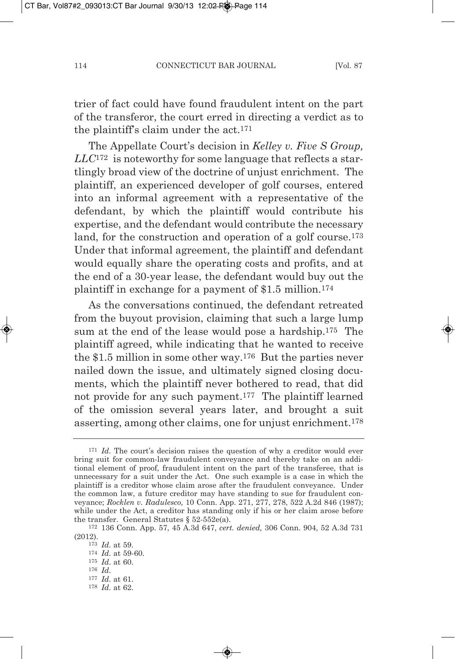trier of fact could have found fraudulent intent on the part of the transferor, the court erred in directing a verdict as to the plaintiff's claim under the act.171

The Appellate Court's decision in *Kelley v. Five S group, LLC*<sup>172</sup> is noteworthy for some language that reflects a startlingly broad view of the doctrine of unjust enrichment. The plaintiff, an experienced developer of golf courses, entered into an informal agreement with a representative of the defendant, by which the plaintiff would contribute his expertise, and the defendant would contribute the necessary land, for the construction and operation of a golf course.<sup>173</sup> Under that informal agreement, the plaintiff and defendant would equally share the operating costs and profits, and at the end of a 30-year lease, the defendant would buy out the plaintiff in exchange for a payment of \$1.5 million.174

As the conversations continued, the defendant retreated from the buyout provision, claiming that such a large lump sum at the end of the lease would pose a hardship.175 The plaintiff agreed, while indicating that he wanted to receive the \$1.5 million in some other way.176 But the parties never nailed down the issue, and ultimately signed closing documents, which the plaintiff never bothered to read, that did not provide for any such payment.177 The plaintiff learned of the omission several years later, and brought a suit asserting, among other claims, one for unjust enrichment.178

<sup>&</sup>lt;sup>171</sup> *Id.* The court's decision raises the question of why a creditor would ever bring suit for common-law fraudulent conveyance and thereby take on an additional element of proof, fraudulent intent on the part of the transferee, that is unnecessary for a suit under the Act. One such example is a case in which the plaintiff is a creditor whose claim arose after the fraudulent conveyance. Under the common law, a future creditor may have standing to sue for fraudulent conveyance; *Rocklen v. Radulesco,* 10 Conn. App. 271, 277, 278, 522 A.2d 846 (1987); while under the Act, a creditor has standing only if his or her claim arose before the transfer. General Statutes § 52-552e(a).

<sup>172</sup> 136 Conn. App. 57, 45 A.3d 647, *cert. denied,* 306 Conn. 904, 52 A.3d 731 (2012).

<sup>173</sup> *Id.* at 59. 174 *Id.* at 59-60.

<sup>175</sup> *Id.* at 60.

<sup>176</sup> *Id.*

<sup>177</sup> *Id.* at 61.

<sup>178</sup> *Id.* at 62.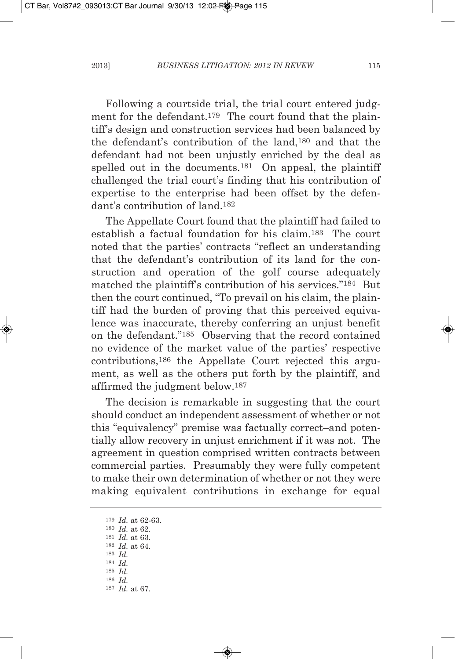Following a courtside trial, the trial court entered judgment for the defendant.<sup>179</sup> The court found that the plaintiff's design and construction services had been balanced by the defendant's contribution of the land,180 and that the defendant had not been unjustly enriched by the deal as spelled out in the documents.<sup>181</sup> On appeal, the plaintiff challenged the trial court's finding that his contribution of expertise to the enterprise had been offset by the defendant's contribution of land.182

The Appellate Court found that the plaintiff had failed to establish a factual foundation for his claim.183 The court noted that the parties' contracts "reflect an understanding that the defendant's contribution of its land for the construction and operation of the golf course adequately matched the plaintiff's contribution of his services."184 But then the court continued, "To prevail on his claim, the plaintiff had the burden of proving that this perceived equivalence was inaccurate, thereby conferring an unjust benefit on the defendant."185 Observing that the record contained no evidence of the market value of the parties' respective contributions,186 the Appellate Court rejected this argument, as well as the others put forth by the plaintiff, and affirmed the judgment below.187

The decision is remarkable in suggesting that the court should conduct an independent assessment of whether or not this "equivalency" premise was factually correct–and potentially allow recovery in unjust enrichment if it was not. The agreement in question comprised written contracts between commercial parties. Presumably they were fully competent to make their own determination of whether or not they were making equivalent contributions in exchange for equal

<sup>179</sup> *Id.* at 62-63. <sup>180</sup> *Id.* at 62. 181 *Id.* at 63. 182 *Id.* at 64. 183 *Id.* 184 *Id.* 185 *Id.* 186 *Id.* 187 *Id.* at 67.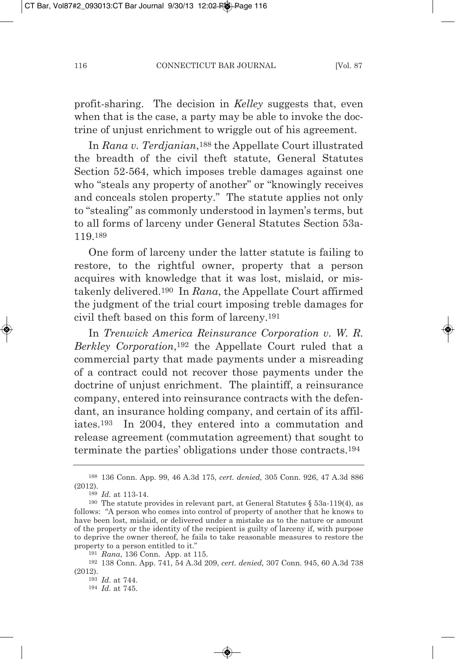profit-sharing. The decision in *Kelley* suggests that, even when that is the case, a party may be able to invoke the doctrine of unjust enrichment to wriggle out of his agreement.

In *Rana v. terdjanian*,188 the Appellate Court illustrated the breadth of the civil theft statute, General Statutes Section 52-564, which imposes treble damages against one who "steals any property of another" or "knowingly receives" and conceals stolen property." The statute applies not only to "stealing" as commonly understood in laymen's terms, but to all forms of larceny under General Statutes Section 53a-119.189

One form of larceny under the latter statute is failing to restore, to the rightful owner, property that a person acquires with knowledge that it was lost, mislaid, or mistakenly delivered.190 In *Rana*, the Appellate Court affirmed the judgment of the trial court imposing treble damages for civil theft based on this form of larceny.191

In *trenwick america Reinsurance Corporation v. w. R. Berkley Corporation*,192 the Appellate Court ruled that a commercial party that made payments under a misreading of a contract could not recover those payments under the doctrine of unjust enrichment. The plaintiff, a reinsurance company, entered into reinsurance contracts with the defendant, an insurance holding company, and certain of its affiliates.193 In 2004, they entered into a commutation and release agreement (commutation agreement) that sought to terminate the parties' obligations under those contracts.194

<sup>188</sup> 136 Conn. App. 99, 46 A.3d 175, *cert. denied,* 305 Conn. 926, 47 A.3d 886 (2012).

<sup>189</sup> *Id.* at 113-14.

<sup>190</sup> The statute provides in relevant part, at General Statutes § 53a-119(4), as follows: "A person who comes into control of property of another that he knows to have been lost, mislaid, or delivered under a mistake as to the nature or amount of the property or the identity of the recipient is guilty of larceny if, with purpose to deprive the owner thereof, he fails to take reasonable measures to restore the property to a person entitled to it."

<sup>191</sup> *Rana*, 136 Conn. App. at 115.

<sup>192</sup> 138 Conn. App. 741, 54 A.3d 209, *cert. denied,* 307 Conn. 945, 60 A.3d 738 (2012).

<sup>193</sup> *Id.* at 744.

<sup>194</sup> *Id.* at 745.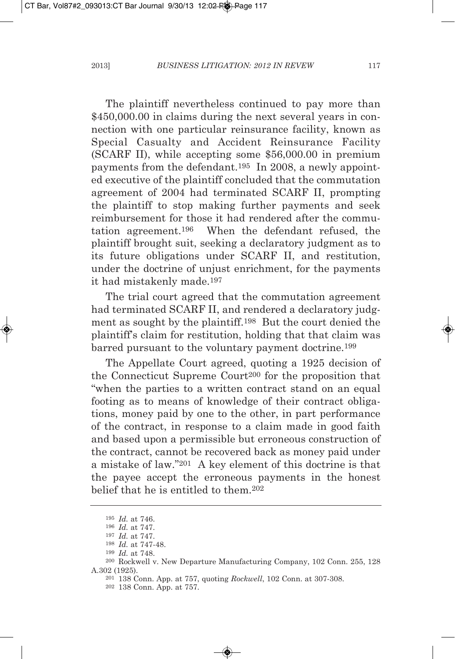The plaintiff nevertheless continued to pay more than \$450,000.00 in claims during the next several years in connection with one particular reinsurance facility, known as Special Casualty and Accident Reinsurance Facility (SCARF II), while accepting some \$56,000.00 in premium payments from the defendant.195 In 2008, a newly appointed executive of the plaintiff concluded that the commutation agreement of 2004 had terminated SCARF II, prompting the plaintiff to stop making further payments and seek reimbursement for those it had rendered after the commutation agreement.196 When the defendant refused, the plaintiff brought suit, seeking a declaratory judgment as to its future obligations under SCARF II, and restitution, under the doctrine of unjust enrichment, for the payments it had mistakenly made.197

The trial court agreed that the commutation agreement had terminated SCARF II, and rendered a declaratory judgment as sought by the plaintiff.198 But the court denied the plaintiff's claim for restitution, holding that that claim was barred pursuant to the voluntary payment doctrine.199

The Appellate Court agreed, quoting a 1925 decision of the Connecticut Supreme Court200 for the proposition that "when the parties to a written contract stand on an equal footing as to means of knowledge of their contract obligations, money paid by one to the other, in part performance of the contract, in response to a claim made in good faith and based upon a permissible but erroneous construction of the contract, cannot be recovered back as money paid under a mistake of law."201 A key element of this doctrine is that the payee accept the erroneous payments in the honest belief that he is entitled to them.202

<sup>195</sup> *Id.* at 746.

<sup>196</sup> *Id.* at 747.

<sup>197</sup> *Id.* at 747.

<sup>198</sup> *Id.* at 747-48.

<sup>199</sup> *Id.* at 748.

<sup>&</sup>lt;sup>200</sup> Rockwell v. New Departure Manufacturing Company, 102 Conn. 255, 128 A.302 (1925).

<sup>201</sup> 138 Conn. App. at 757, quoting *Rockwell*, 102 Conn. at 307-308.

<sup>202</sup> 138 Conn. App. at 757.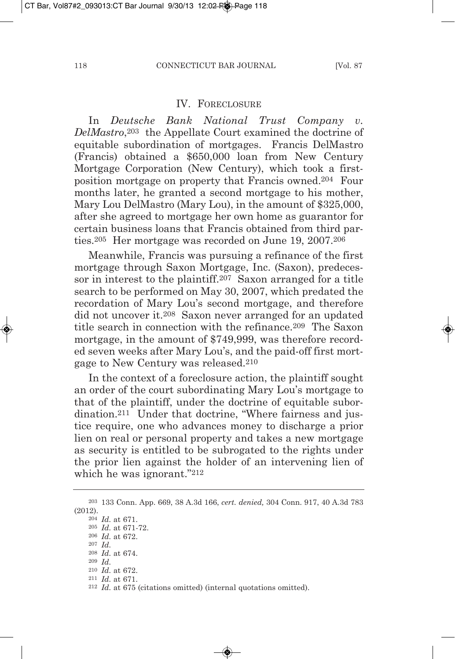#### IV. FORECLOSURE

In *Deutsche Bank National Trust Company v. DelMastro*,203 the Appellate Court examined the doctrine of equitable subordination of mortgages. Francis DelMastro (Francis) obtained a \$650,000 loan from New Century mortgage Corporation (New Century), which took a firstposition mortgage on property that Francis owned.204 Four months later, he granted a second mortgage to his mother, Mary Lou DelMastro (Mary Lou), in the amount of \$325,000, after she agreed to mortgage her own home as guarantor for certain business loans that Francis obtained from third parties.205 Her mortgage was recorded on June 19, 2007.206

meanwhile, Francis was pursuing a refinance of the first mortgage through Saxon mortgage, Inc. (Saxon), predecessor in interest to the plaintiff.207 Saxon arranged for a title search to be performed on may 30, 2007, which predated the recordation of mary Lou's second mortgage, and therefore did not uncover it.208 Saxon never arranged for an updated title search in connection with the refinance.209 The Saxon mortgage, in the amount of \$749,999, was therefore recorded seven weeks after mary Lou's, and the paid-off first mortgage to New Century was released.210

In the context of a foreclosure action, the plaintiff sought an order of the court subordinating mary Lou's mortgage to that of the plaintiff, under the doctrine of equitable subordination.211 Under that doctrine, "Where fairness and justice require, one who advances money to discharge a prior lien on real or personal property and takes a new mortgage as security is entitled to be subrogated to the rights under the prior lien against the holder of an intervening lien of which he was ignorant."212

<sup>203</sup> 133 Conn. App. 669, 38 A.3d 166, *cert. denied,* 304 Conn. 917, 40 A.3d 783 (2012).

<sup>204</sup> *Id.* at 671. <sup>205</sup> *Id.* at 671-72.

<sup>206</sup> *Id.* at 672.

<sup>207</sup> *Id.*

<sup>208</sup> *Id.* at 674.

<sup>209</sup> *Id.*

<sup>210</sup> *Id.* at 672.

<sup>211</sup> *Id.* at 671.

<sup>212</sup> *Id.* at 675 (citations omitted) (internal quotations omitted).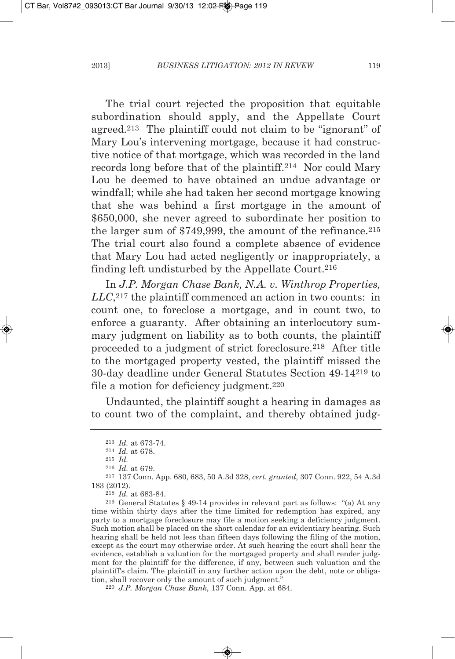The trial court rejected the proposition that equitable subordination should apply, and the Appellate Court agreed.213 The plaintiff could not claim to be "ignorant" of mary Lou's intervening mortgage, because it had constructive notice of that mortgage, which was recorded in the land records long before that of the plaintiff.214 Nor could mary Lou be deemed to have obtained an undue advantage or windfall; while she had taken her second mortgage knowing that she was behind a first mortgage in the amount of \$650,000, she never agreed to subordinate her position to the larger sum of \$749,999, the amount of the refinance.<sup>215</sup> The trial court also found a complete absence of evidence that mary Lou had acted negligently or inappropriately, a finding left undisturbed by the Appellate Court.216

In *J.P. Morgan Chase Bank, N.A. v. Winthrop Properties, LLC*,217 the plaintiff commenced an action in two counts: in count one, to foreclose a mortgage, and in count two, to enforce a guaranty. After obtaining an interlocutory summary judgment on liability as to both counts, the plaintiff proceeded to a judgment of strict foreclosure.218 After title to the mortgaged property vested, the plaintiff missed the 30-day deadline under General Statutes Section 49-14219 to file a motion for deficiency judgment.220

Undaunted, the plaintiff sought a hearing in damages as to count two of the complaint, and thereby obtained judg-

<sup>213</sup> *Id.* at 673-74.

<sup>214</sup> *Id.* at 678.

<sup>215</sup> *Id.*

<sup>216</sup> *Id.* at 679.

<sup>217</sup> 137 Conn. App. 680, 683, 50 A.3d 328, *cert. granted,* 307 Conn. 922, 54 A.3d 183 (2012).

<sup>218</sup> *Id.* at 683-84.

<sup>219</sup> General Statutes § 49-14 provides in relevant part as follows: "(a) At any time within thirty days after the time limited for redemption has expired, any party to a mortgage foreclosure may file a motion seeking a deficiency judgment. Such motion shall be placed on the short calendar for an evidentiary hearing. Such hearing shall be held not less than fifteen days following the filing of the motion, except as the court may otherwise order. At such hearing the court shall hear the evidence, establish a valuation for the mortgaged property and shall render judgment for the plaintiff for the difference, if any, between such valuation and the plaintiff's claim. The plaintiff in any further action upon the debt, note or obligation, shall recover only the amount of such judgment."

<sup>220</sup> *J.P. Morgan Chase Bank*, 137 Conn. App. at 684.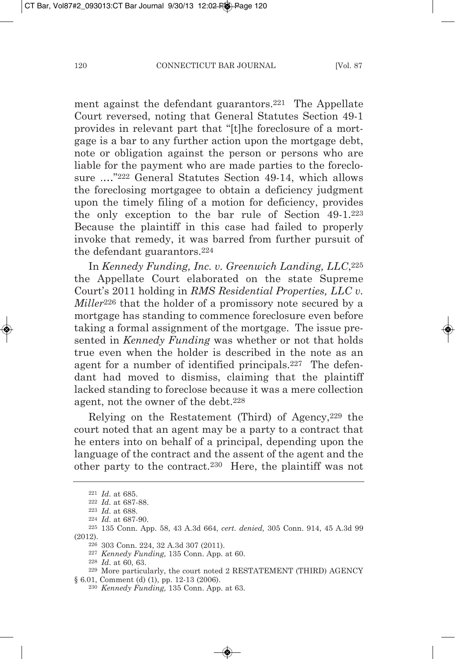ment against the defendant guarantors.221 The Appellate Court reversed, noting that General Statutes Section 49-1 provides in relevant part that "[t]he foreclosure of a mortgage is a bar to any further action upon the mortgage debt, note or obligation against the person or persons who are liable for the payment who are made parties to the foreclosure .…"222 General Statutes Section 49-14, which allows the foreclosing mortgagee to obtain a deficiency judgment upon the timely filing of a motion for deficiency, provides the only exception to the bar rule of Section 49-1.223 Because the plaintiff in this case had failed to properly invoke that remedy, it was barred from further pursuit of the defendant guarantors.224

In *Kennedy Funding, Inc. v. greenwich Landing, LLC*,225 the Appellate Court elaborated on the state Supreme Court's 2011 holding in *RMS Residential Properties, LLC v. Miller*<sup>226</sup> that the holder of a promissory note secured by a mortgage has standing to commence foreclosure even before taking a formal assignment of the mortgage. The issue presented in *Kennedy Funding* was whether or not that holds true even when the holder is described in the note as an agent for a number of identified principals.227 The defendant had moved to dismiss, claiming that the plaintiff lacked standing to foreclose because it was a mere collection agent, not the owner of the debt.228

Relying on the Restatement (Third) of Agency,229 the court noted that an agent may be a party to a contract that he enters into on behalf of a principal, depending upon the language of the contract and the assent of the agent and the other party to the contract.230 Here, the plaintiff was not

<sup>221</sup> *Id.* at 685.

<sup>222</sup> *Id.* at 687-88.

<sup>223</sup> *Id.* at 688.

<sup>224</sup> *Id.* at 687-90.

<sup>225</sup> 135 Conn. App. 58, 43 A.3d 664, *cert. denied,* 305 Conn. 914, 45 A.3d 99 (2012).

<sup>226</sup> 303 Conn. 224, 32 A.3d 307 (2011).

<sup>227</sup> *Kennedy Funding,* 135 Conn. App. at 60.

<sup>228</sup> *Id.* at 60, 63.

<sup>&</sup>lt;sup>229</sup> More particularly, the court noted 2 RESTATEMENT (THIRD) AGENCY § 6.01, Comment (d) (1), pp. 12-13 (2006).

<sup>230</sup> *Kennedy Funding,* 135 Conn. App. at 63.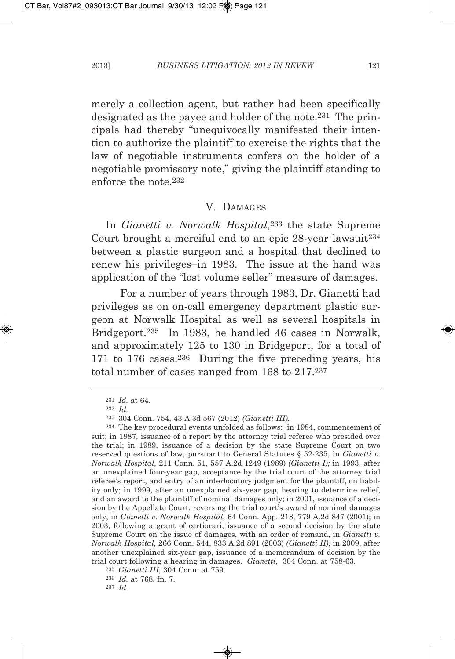merely a collection agent, but rather had been specifically designated as the payee and holder of the note.231 The principals had thereby "unequivocally manifested their intention to authorize the plaintiff to exercise the rights that the law of negotiable instruments confers on the holder of a negotiable promissory note," giving the plaintiff standing to enforce the note.232

### V. DAMAGES

In *gianetti v. norwalk Hospital*,233 the state Supreme Court brought a merciful end to an epic 28-year lawsuit<sup>234</sup> between a plastic surgeon and a hospital that declined to renew his privileges–in 1983. The issue at the hand was application of the "lost volume seller" measure of damages.

For a number of years through 1983, Dr. Gianetti had privileges as on on-call emergency department plastic surgeon at Norwalk Hospital as well as several hospitals in Bridgeport.235 In 1983, he handled 46 cases in Norwalk, and approximately 125 to 130 in Bridgeport, for a total of 171 to 176 cases.<sup>236</sup> During the five preceding years, his total number of cases ranged from 168 to 217.237

236 *Id.* at 768, fn. 7.

237 *Id.*

<sup>231</sup> *Id.* at 64.

<sup>232</sup> *Id.*

<sup>233</sup> 304 Conn. 754, 43 A.3d 567 (2012) *(gianetti III).*

<sup>234</sup> The key procedural events unfolded as follows: in 1984, commencement of suit; in 1987, issuance of a report by the attorney trial referee who presided over the trial; in 1989, issuance of a decision by the state Supreme Court on two reserved questions of law, pursuant to General Statutes § 52-235, in *gianetti v. norwalk Hospital,* 211 Conn. 51, 557 A.2d 1249 (1989) *(gianetti I);* in 1993, after an unexplained four-year gap, acceptance by the trial court of the attorney trial referee's report, and entry of an interlocutory judgment for the plaintiff, on liability only; in 1999, after an unexplained six-year gap, hearing to determine relief, and an award to the plaintiff of nominal damages only; in 2001, issuance of a decision by the Appellate Court, reversing the trial court's award of nominal damages only, in *gianetti v. norwalk Hospital,* 64 Conn. App. 218, 779 A.2d 847 (2001); in 2003, following a grant of certiorari, issuance of a second decision by the state Supreme Court on the issue of damages, with an order of remand, in *gianetti v. norwalk Hospital,* 266 Conn. 544, 833 A.2d 891 (2003) *(gianetti II);* in 2009, after another unexplained six-year gap, issuance of a memorandum of decision by the trial court following a hearing in damages. *gianetti,* 304 Conn. at 758-63.

<sup>235</sup> *gianetti III*, 304 Conn. at 759.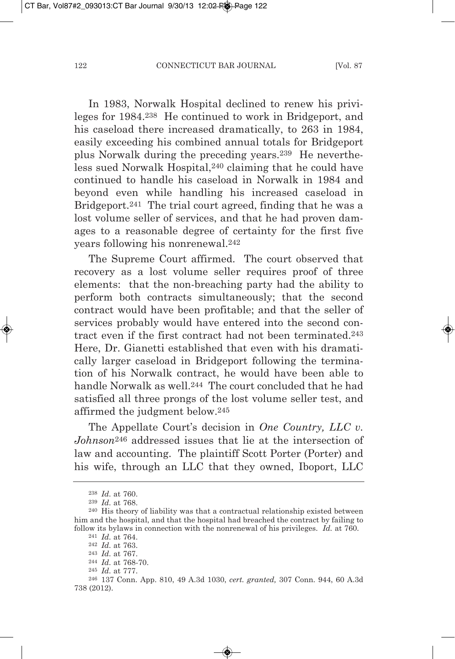In 1983, Norwalk Hospital declined to renew his privileges for 1984.238 He continued to work in Bridgeport, and his caseload there increased dramatically, to 263 in 1984, easily exceeding his combined annual totals for Bridgeport plus Norwalk during the preceding years.239 He nevertheless sued Norwalk Hospital,240 claiming that he could have continued to handle his caseload in Norwalk in 1984 and beyond even while handling his increased caseload in Bridgeport.241 The trial court agreed, finding that he was a lost volume seller of services, and that he had proven damages to a reasonable degree of certainty for the first five years following his nonrenewal.242

The Supreme Court affirmed. The court observed that recovery as a lost volume seller requires proof of three elements: that the non-breaching party had the ability to perform both contracts simultaneously; that the second contract would have been profitable; and that the seller of services probably would have entered into the second contract even if the first contract had not been terminated.243 Here, Dr. Gianetti established that even with his dramatically larger caseload in Bridgeport following the termination of his Norwalk contract, he would have been able to handle Norwalk as well.244 The court concluded that he had satisfied all three prongs of the lost volume seller test, and affirmed the judgment below.245

The Appellate Court's decision in *one Country, LLC v. Johnson*<sup>246</sup> addressed issues that lie at the intersection of law and accounting. The plaintiff Scott Porter (Porter) and his wife, through an LLC that they owned, Iboport, LLC

<sup>238</sup> *Id.* at 760.

<sup>239</sup> *Id.* at 768.

<sup>240</sup> His theory of liability was that a contractual relationship existed between him and the hospital, and that the hospital had breached the contract by failing to follow its bylaws in connection with the nonrenewal of his privileges. *Id.* at 760.

<sup>241</sup> *Id.* at 764.

<sup>242</sup> *Id.* at 763.

<sup>243</sup> *Id.* at 767.

<sup>244</sup> *Id.* at 768-70. 245 *Id.* at 777.

<sup>246</sup> 137 Conn. App. 810, 49 A.3d 1030, *cert. granted,* 307 Conn. 944, 60 A.3d 738 (2012).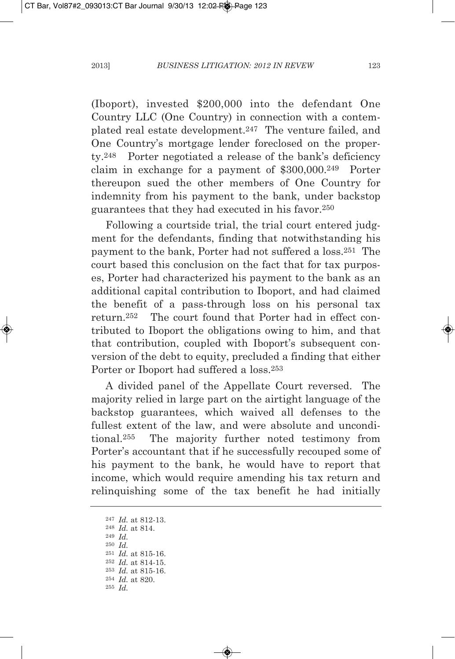(Iboport), invested \$200,000 into the defendant One Country LLC (One Country) in connection with a contemplated real estate development.247 The venture failed, and One Country's mortgage lender foreclosed on the property.248 Porter negotiated a release of the bank's deficiency claim in exchange for a payment of \$300,000.249 Porter thereupon sued the other members of One Country for indemnity from his payment to the bank, under backstop guarantees that they had executed in his favor.250

Following a courtside trial, the trial court entered judgment for the defendants, finding that notwithstanding his payment to the bank, Porter had not suffered a loss.251 The court based this conclusion on the fact that for tax purposes, Porter had characterized his payment to the bank as an additional capital contribution to Iboport, and had claimed the benefit of a pass-through loss on his personal tax return.252 The court found that Porter had in effect contributed to Iboport the obligations owing to him, and that that contribution, coupled with Iboport's subsequent conversion of the debt to equity, precluded a finding that either Porter or Iboport had suffered a loss.253

A divided panel of the Appellate Court reversed. The majority relied in large part on the airtight language of the backstop guarantees, which waived all defenses to the fullest extent of the law, and were absolute and unconditional.255 The majority further noted testimony from Porter's accountant that if he successfully recouped some of his payment to the bank, he would have to report that income, which would require amending his tax return and relinquishing some of the tax benefit he had initially

 *Id.* at 812-13. *Id.* at 814. 249 *Id.* 250 *Id. Id.* at 815-16. *Id.* at 814-15. *Id.* at 815-16. *Id.* at 820. 255 *Id.*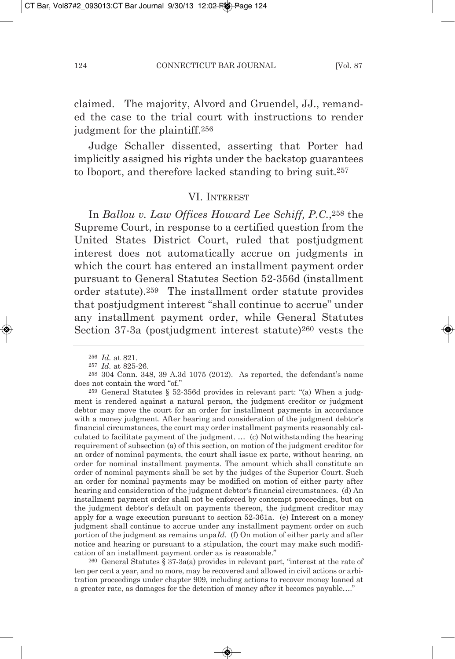claimed. The majority, Alvord and Gruendel, JJ., remanded the case to the trial court with instructions to render judgment for the plaintiff.256

Judge Schaller dissented, asserting that Porter had implicitly assigned his rights under the backstop guarantees to Iboport, and therefore lacked standing to bring suit.257

### VI. INTEREST

In *Ballou v. Law offices Howard Lee Schiff, P.C.*,258 the Supreme Court, in response to a certified question from the United States District Court, ruled that postjudgment interest does not automatically accrue on judgments in which the court has entered an installment payment order pursuant to General Statutes Section 52-356d (installment order statute).259 The installment order statute provides that postjudgment interest "shall continue to accrue" under any installment payment order, while General Statutes Section 37-3a (postjudgment interest statute)260 vests the

259 General Statutes § 52-356d provides in relevant part: "(a) When a judgment is rendered against a natural person, the judgment creditor or judgment debtor may move the court for an order for installment payments in accordance with a money judgment. After hearing and consideration of the judgment debtor's financial circumstances, the court may order installment payments reasonably calculated to facilitate payment of the judgment. … (c) Notwithstanding the hearing requirement of subsection (a) of this section, on motion of the judgment creditor for an order of nominal payments, the court shall issue ex parte, without hearing, an order for nominal installment payments. The amount which shall constitute an order of nominal payments shall be set by the judges of the Superior Court. Such an order for nominal payments may be modified on motion of either party after hearing and consideration of the judgment debtor's financial circumstances. (d) An installment payment order shall not be enforced by contempt proceedings, but on the judgment debtor's default on payments thereon, the judgment creditor may apply for a wage execution pursuant to section 52-361a. (e) Interest on a money judgment shall continue to accrue under any installment payment order on such portion of the judgment as remains unpa*Id.* (f) On motion of either party and after notice and hearing or pursuant to a stipulation, the court may make such modification of an installment payment order as is reasonable."

260 General Statutes § 37-3a(a) provides in relevant part, "interest at the rate of ten per cent a year, and no more, may be recovered and allowed in civil actions or arbitration proceedings under chapter 909, including actions to recover money loaned at a greater rate, as damages for the detention of money after it becomes payable…."

<sup>256</sup> *Id.* at 821.

<sup>257</sup> *Id.* at 825-26.

<sup>258</sup> 304 Conn. 348, 39 A.3d 1075 (2012). As reported, the defendant's name does not contain the word "of."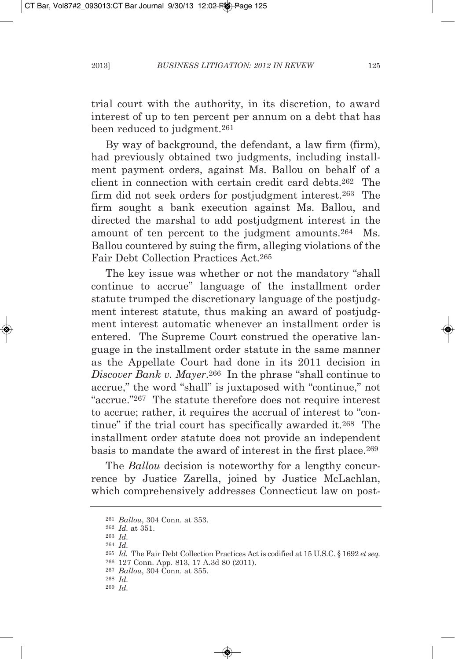trial court with the authority, in its discretion, to award interest of up to ten percent per annum on a debt that has been reduced to judgment.261

By way of background, the defendant, a law firm (firm), had previously obtained two judgments, including installment payment orders, against ms. Ballou on behalf of a client in connection with certain credit card debts.262 The firm did not seek orders for postiudgment interest.<sup>263</sup> The firm sought a bank execution against Ms. Ballou, and directed the marshal to add postjudgment interest in the amount of ten percent to the judgment amounts.<sup>264</sup> Ms. Ballou countered by suing the firm, alleging violations of the Fair Debt Collection Practices Act.<sup>265</sup>

The key issue was whether or not the mandatory "shall continue to accrue" language of the installment order statute trumped the discretionary language of the postjudgment interest statute, thus making an award of postjudgment interest automatic whenever an installment order is entered. The Supreme Court construed the operative language in the installment order statute in the same manner as the Appellate Court had done in its 2011 decision in *Discover Bank v. Mayer*.266 In the phrase "shall continue to accrue," the word "shall" is juxtaposed with "continue," not "accrue."267 The statute therefore does not require interest to accrue; rather, it requires the accrual of interest to "continue" if the trial court has specifically awarded it.268 The installment order statute does not provide an independent basis to mandate the award of interest in the first place.269

The *Ballou* decision is noteworthy for a lengthy concurrence by Justice Zarella, joined by Justice mcLachlan, which comprehensively addresses Connecticut law on post-

267 *Ballou*, 304 Conn. at 355.

<sup>261</sup> *Ballou*, 304 Conn. at 353.

<sup>262</sup> *Id.* at 351.

<sup>263</sup> *Id.*

<sup>264</sup> *Id.*

<sup>&</sup>lt;sup>265</sup> *Id.* The Fair Debt Collection Practices Act is codified at 15 U.S.C. § 1692 *et seq.* 266 127 Conn. App. 813, 17 A.3d 80 (2011).

<sup>268</sup> *Id.*

<sup>269</sup> *Id.*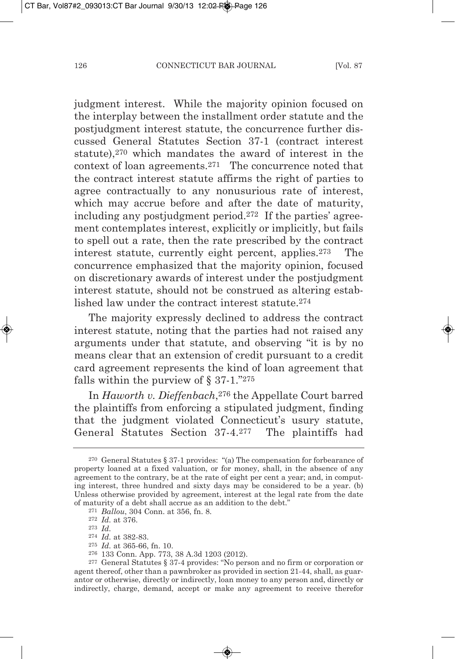judgment interest. While the majority opinion focused on the interplay between the installment order statute and the postjudgment interest statute, the concurrence further discussed General Statutes Section 37-1 (contract interest statute),270 which mandates the award of interest in the context of loan agreements.271 The concurrence noted that the contract interest statute affirms the right of parties to agree contractually to any nonusurious rate of interest, which may accrue before and after the date of maturity, including any postjudgment period.272 If the parties' agreement contemplates interest, explicitly or implicitly, but fails to spell out a rate, then the rate prescribed by the contract interest statute, currently eight percent, applies.273 The concurrence emphasized that the majority opinion, focused on discretionary awards of interest under the postjudgment interest statute, should not be construed as altering established law under the contract interest statute.<sup>274</sup>

The majority expressly declined to address the contract interest statute, noting that the parties had not raised any arguments under that statute, and observing "it is by no means clear that an extension of credit pursuant to a credit card agreement represents the kind of loan agreement that falls within the purview of  $\S 37-1.^{"275}$ 

In *Haworth v. Dieffenbach*,276 the Appellate Court barred the plaintiffs from enforcing a stipulated judgment, finding that the judgment violated Connecticut's usury statute, General Statutes Section 37-4.277 The plaintiffs had

- 274 *Id.* at 382-83.
- 275 *Id.* at 365-66, fn. 10.
- 276 133 Conn. App. 773, 38 A.3d 1203 (2012).

<sup>270</sup> General Statutes § 37-1 provides: "(a) The compensation for forbearance of property loaned at a fixed valuation, or for money, shall, in the absence of any agreement to the contrary, be at the rate of eight per cent a year; and, in computing interest, three hundred and sixty days may be considered to be a year. (b) Unless otherwise provided by agreement, interest at the legal rate from the date of maturity of a debt shall accrue as an addition to the debt."

<sup>271</sup> *Ballou*, 304 Conn. at 356, fn. 8.

<sup>272</sup> *Id.* at 376.

<sup>273</sup> *Id.*

<sup>277</sup> General Statutes § 37-4 provides: "No person and no firm or corporation or agent thereof, other than a pawnbroker as provided in section 21-44, shall, as guarantor or otherwise, directly or indirectly, loan money to any person and, directly or indirectly, charge, demand, accept or make any agreement to receive therefor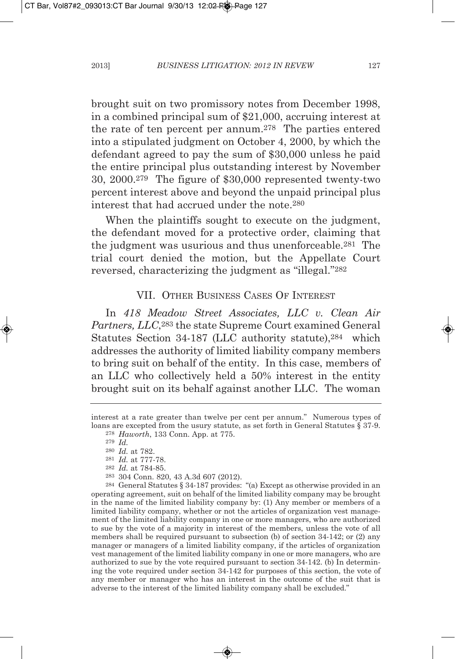brought suit on two promissory notes from December 1998, in a combined principal sum of \$21,000, accruing interest at the rate of ten percent per annum.278 The parties entered into a stipulated judgment on October 4, 2000, by which the defendant agreed to pay the sum of \$30,000 unless he paid the entire principal plus outstanding interest by November 30, 2000.279 The figure of \$30,000 represented twenty-two percent interest above and beyond the unpaid principal plus interest that had accrued under the note.280

When the plaintiffs sought to execute on the judgment, the defendant moved for a protective order, claiming that the judgment was usurious and thus unenforceable.281 The trial court denied the motion, but the Appellate Court reversed, characterizing the judgment as "illegal."282

# VII. OTHER BUSINESS CASES OF INTEREST

In *418 Meadow Street associates, LLC v. Clean air Partners, LLC*,283 the state Supreme Court examined General Statutes Section 34-187 (LLC authority statute), <sup>284</sup> which addresses the authority of limited liability company members to bring suit on behalf of the entity. In this case, members of an LLC who collectively held a 50% interest in the entity brought suit on its behalf against another LLC. The woman

<sup>284</sup> General Statutes § 34-187 provides: "(a) Except as otherwise provided in an operating agreement, suit on behalf of the limited liability company may be brought in the name of the limited liability company by: (1) Any member or members of a limited liability company, whether or not the articles of organization vest management of the limited liability company in one or more managers, who are authorized to sue by the vote of a majority in interest of the members, unless the vote of all members shall be required pursuant to subsection (b) of section  $34-142$ ; or  $(2)$  any manager or managers of a limited liability company, if the articles of organization vest management of the limited liability company in one or more managers, who are authorized to sue by the vote required pursuant to section 34-142. (b) In determining the vote required under section 34-142 for purposes of this section, the vote of any member or manager who has an interest in the outcome of the suit that is adverse to the interest of the limited liability company shall be excluded."

interest at a rate greater than twelve per cent per annum." Numerous types of loans are excepted from the usury statute, as set forth in General Statutes § 37-9. <sup>278</sup> *Haworth*, 133 Conn. App. at 775.

<sup>279</sup> *Id.*

<sup>280</sup> *Id.* at 782. <sup>281</sup> *Id.* at 777-78.

<sup>282</sup> *Id.* at 784-85.

<sup>283</sup> 304 Conn. 820, 43 A.3d 607 (2012).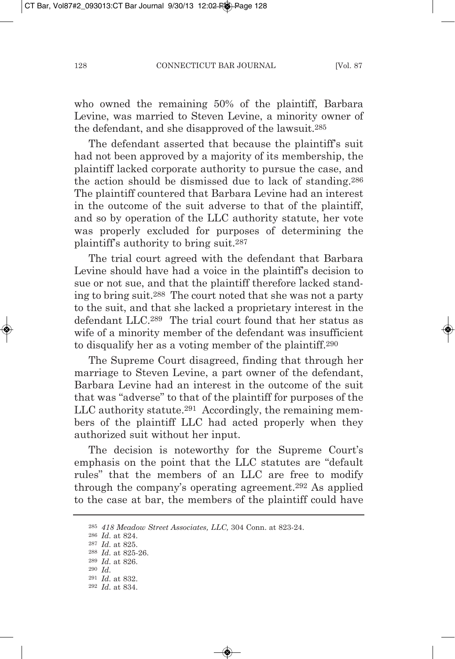who owned the remaining 50% of the plaintiff, Barbara Levine, was married to Steven Levine, a minority owner of the defendant, and she disapproved of the lawsuit.285

The defendant asserted that because the plaintiff's suit had not been approved by a majority of its membership, the plaintiff lacked corporate authority to pursue the case, and the action should be dismissed due to lack of standing.286 The plaintiff countered that Barbara Levine had an interest in the outcome of the suit adverse to that of the plaintiff, and so by operation of the LLC authority statute, her vote was properly excluded for purposes of determining the plaintiff's authority to bring suit.287

The trial court agreed with the defendant that Barbara Levine should have had a voice in the plaintiff's decision to sue or not sue, and that the plaintiff therefore lacked standing to bring suit.288 The court noted that she was not a party to the suit, and that she lacked a proprietary interest in the defendant LLC.289 The trial court found that her status as wife of a minority member of the defendant was insufficient to disqualify her as a voting member of the plaintiff.290

The Supreme Court disagreed, finding that through her marriage to Steven Levine, a part owner of the defendant, Barbara Levine had an interest in the outcome of the suit that was "adverse" to that of the plaintiff for purposes of the LLC authority statute.291 Accordingly, the remaining members of the plaintiff LLC had acted properly when they authorized suit without her input.

The decision is noteworthy for the Supreme Court's emphasis on the point that the LLC statutes are "default rules" that the members of an LLC are free to modify through the company's operating agreement.292 As applied to the case at bar, the members of the plaintiff could have

<sup>285</sup> *418 Meadow Street associates, LLC,* 304 Conn. at 823-24.

<sup>286</sup> *Id.* at 824.

<sup>287</sup> *Id.* at 825.

<sup>288</sup> *Id.* at 825-26. 289 *Id.* at 826.

<sup>290</sup> *Id.*

<sup>291</sup> *Id.* at 832.

<sup>292</sup> *Id.* at 834.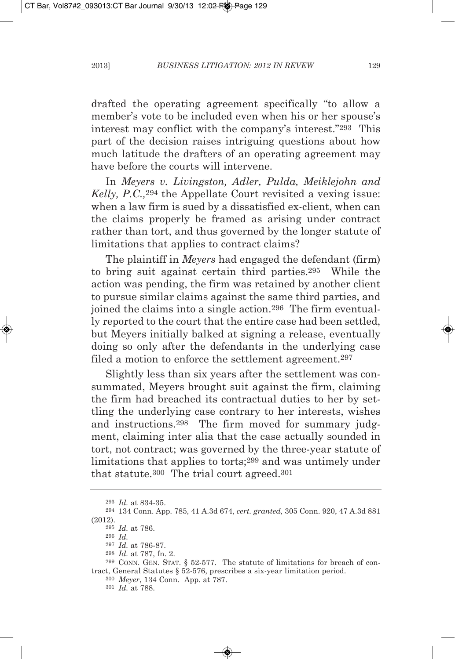drafted the operating agreement specifically "to allow a member's vote to be included even when his or her spouse's interest may conflict with the company's interest."293 This part of the decision raises intriguing questions about how much latitude the drafters of an operating agreement may have before the courts will intervene.

In *Meyers v. Livingston, adler, Pulda, Meiklejohn and Kelly, P.C.,*<sup>294</sup> the Appellate Court revisited a vexing issue: when a law firm is sued by a dissatisfied ex-client, when can the claims properly be framed as arising under contract rather than tort, and thus governed by the longer statute of limitations that applies to contract claims?

The plaintiff in *Meyers* had engaged the defendant (firm) to bring suit against certain third parties.295 While the action was pending, the firm was retained by another client to pursue similar claims against the same third parties, and joined the claims into a single action.296 The firm eventually reported to the court that the entire case had been settled, but meyers initially balked at signing a release, eventually doing so only after the defendants in the underlying case filed a motion to enforce the settlement agreement.297

Slightly less than six years after the settlement was consummated, Meyers brought suit against the firm, claiming the firm had breached its contractual duties to her by settling the underlying case contrary to her interests, wishes and instructions.298 The firm moved for summary judgment, claiming inter alia that the case actually sounded in tort, not contract; was governed by the three-year statute of limitations that applies to torts;299 and was untimely under that statute.300 The trial court agreed.301

<sup>293</sup> *Id.* at 834-35.

<sup>294</sup> 134 Conn. App. 785, 41 A.3d 674, *cert. granted,* 305 Conn. 920, 47 A.3d 881 (2012).

<sup>295</sup> *Id.* at 786.

<sup>296</sup> *Id.*

<sup>297</sup> *Id.* at 786-87.

<sup>298</sup> *Id.* at 787, fn. 2.

<sup>299</sup> CONN. GEN. STAT. § 52-577. The statute of limitations for breach of contract, General Statutes § 52-576, prescribes a six-year limitation period.

<sup>300</sup> *Meyer*, 134 Conn. App. at 787.

<sup>301</sup> *Id.* at 788.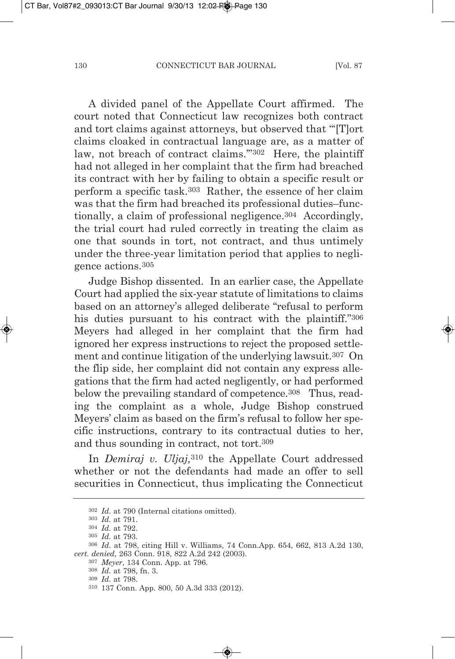A divided panel of the Appellate Court affirmed. The court noted that Connecticut law recognizes both contract and tort claims against attorneys, but observed that "'[T]ort claims cloaked in contractual language are, as a matter of law, not breach of contract claims.'"302 Here, the plaintiff had not alleged in her complaint that the firm had breached its contract with her by failing to obtain a specific result or perform a specific task.303 Rather, the essence of her claim was that the firm had breached its professional duties–functionally, a claim of professional negligence.<sup>304</sup> Accordingly, the trial court had ruled correctly in treating the claim as one that sounds in tort, not contract, and thus untimely under the three-year limitation period that applies to negligence actions.305

Judge Bishop dissented. In an earlier case, the Appellate Court had applied the six-year statute of limitations to claims based on an attorney's alleged deliberate "refusal to perform his duties pursuant to his contract with the plaintiff."306 meyers had alleged in her complaint that the firm had ignored her express instructions to reject the proposed settlement and continue litigation of the underlying lawsuit.307 On the flip side, her complaint did not contain any express allegations that the firm had acted negligently, or had performed below the prevailing standard of competence.<sup>308</sup> Thus, reading the complaint as a whole, Judge Bishop construed meyers' claim as based on the firm's refusal to follow her specific instructions, contrary to its contractual duties to her, and thus sounding in contract, not tort.309

In *Demiraj v. Uljaj*,<sup>310</sup> the Appellate Court addressed whether or not the defendants had made an offer to sell securities in Connecticut, thus implicating the Connecticut

<sup>302</sup> *Id.* at 790 (Internal citations omitted).

<sup>303</sup> *Id.* at 791.

<sup>304</sup> *Id.* at 792.

<sup>305</sup> *Id.* at 793.

<sup>306</sup> *Id.* at 798, citing Hill v. Williams, 74 Conn.App. 654, 662, 813 A.2d 130, *cert. denied,* 263 Conn. 918, 822 A.2d 242 (2003).

<sup>307</sup> *Meyer*, 134 Conn. App. at 796.

<sup>308</sup> *Id.* at 798, fn. 3.

<sup>309</sup> *Id.* at 798.

<sup>310</sup> 137 Conn. App. 800, 50 A.3d 333 (2012).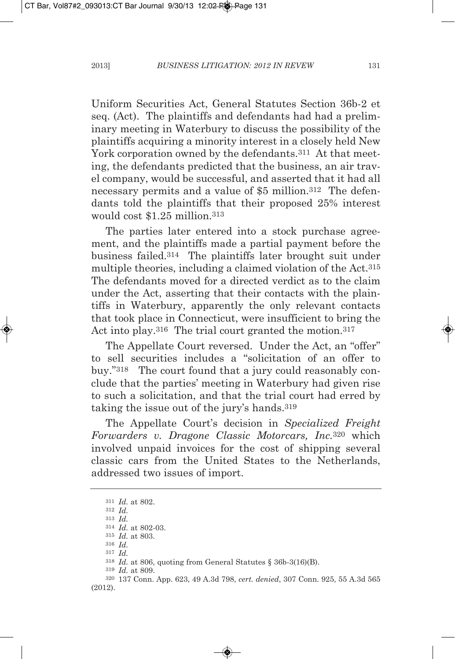Uniform Securities Act, General Statutes Section 36b-2 et seq. (Act). The plaintiffs and defendants had had a preliminary meeting in Waterbury to discuss the possibility of the plaintiffs acquiring a minority interest in a closely held New York corporation owned by the defendants.<sup>311</sup> At that meeting, the defendants predicted that the business, an air travel company, would be successful, and asserted that it had all necessary permits and a value of \$5 million.312 The defendants told the plaintiffs that their proposed 25% interest would cost \$1.25 million.313

The parties later entered into a stock purchase agreement, and the plaintiffs made a partial payment before the business failed.314 The plaintiffs later brought suit under multiple theories, including a claimed violation of the Act.315 The defendants moved for a directed verdict as to the claim under the Act, asserting that their contacts with the plaintiffs in Waterbury, apparently the only relevant contacts that took place in Connecticut, were insufficient to bring the Act into play.<sup>316</sup> The trial court granted the motion.<sup>317</sup>

The Appellate Court reversed. Under the Act, an "offer" to sell securities includes a "solicitation of an offer to buy."318 The court found that a jury could reasonably conclude that the parties' meeting in Waterbury had given rise to such a solicitation, and that the trial court had erred by taking the issue out of the jury's hands.<sup>319</sup>

The Appellate Court's decision in *Specialized Freight Forwarders v. Dragone Classic Motorcars, Inc.*<sup>320</sup> which involved unpaid invoices for the cost of shipping several classic cars from the United States to the Netherlands, addressed two issues of import.

<sup>311</sup> *Id.* at 802.

<sup>312</sup> *Id.*

<sup>313</sup> *Id.*

<sup>314</sup> *Id.* at 802-03.

<sup>315</sup> *Id.* at 803. 316 *Id.*

<sup>317</sup> *Id.*

<sup>318</sup> *Id.* at 806, quoting from General Statutes § 36b-3(16)(B).

<sup>319</sup> *Id.* at 809.

<sup>320</sup> 137 Conn. App. 623, 49 A.3d 798, *cert. denied*, 307 Conn. 925, 55 A.3d 565 (2012).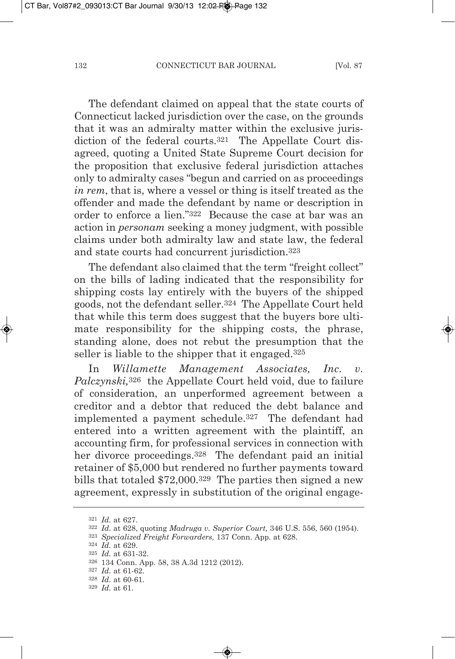The defendant claimed on appeal that the state courts of Connecticut lacked jurisdiction over the case, on the grounds that it was an admiralty matter within the exclusive jurisdiction of the federal courts.<sup>321</sup> The Appellate Court disagreed, quoting a United State Supreme Court decision for the proposition that exclusive federal jurisdiction attaches only to admiralty cases "begun and carried on as proceedings *in rem*, that is, where a vessel or thing is itself treated as the offender and made the defendant by name or description in order to enforce a lien."322 Because the case at bar was an action in *personam* seeking a money judgment, with possible claims under both admiralty law and state law, the federal and state courts had concurrent jurisdiction.323

The defendant also claimed that the term "freight collect" on the bills of lading indicated that the responsibility for shipping costs lay entirely with the buyers of the shipped goods, not the defendant seller.324 The Appellate Court held that while this term does suggest that the buyers bore ultimate responsibility for the shipping costs, the phrase, standing alone, does not rebut the presumption that the seller is liable to the shipper that it engaged.325

In *willamette Management associates, Inc. v. Palczynski,*<sup>326</sup> the Appellate Court held void, due to failure of consideration, an unperformed agreement between a creditor and a debtor that reduced the debt balance and implemented a payment schedule.327 The defendant had entered into a written agreement with the plaintiff, an accounting firm, for professional services in connection with her divorce proceedings.328 The defendant paid an initial retainer of \$5,000 but rendered no further payments toward bills that totaled \$72,000.329 The parties then signed a new agreement, expressly in substitution of the original engage-

<sup>321</sup> *Id.* at 627.

<sup>322</sup> *Id.* at 628, quoting *Madruga v. Superior Court,* 346 U.S. 556, 560 (1954).

<sup>323</sup> *Specialized Freight Forwarders,* 137 Conn. App. at 628.

<sup>324</sup> *Id.* at 629.

<sup>325</sup> *Id.* at 631-32.

<sup>326</sup> 134 Conn. App. 58, 38 A.3d 1212 (2012).

<sup>327</sup> *Id.* at 61-62.

<sup>328</sup> *Id.* at 60-61.

<sup>329</sup> *Id.* at 61.